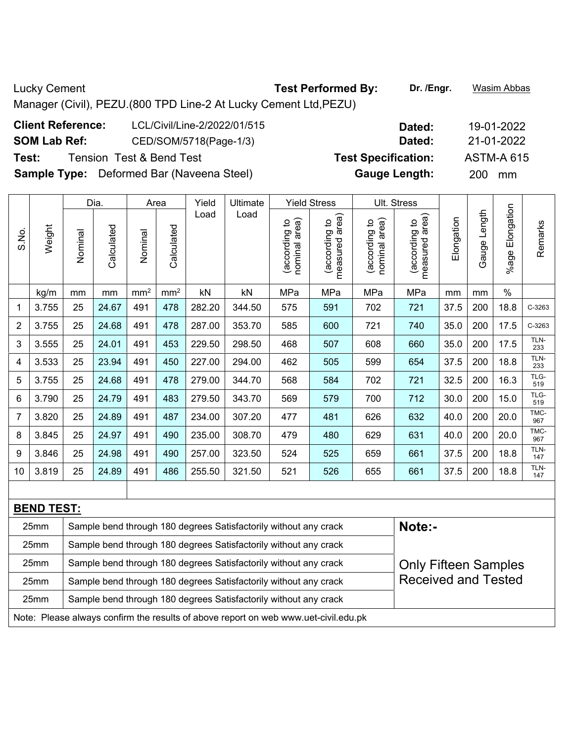Lucky Cement **Test Performed By:** Dr. /Engr. **Wasim Abbas Lucky** Cement Manager (Civil), PEZU.(800 TPD Line-2 At Lucky Cement Ltd,PEZU) **Client Reference:** LCL/Civil/Line-2/2022/01/515 **Dated:** 19-01-2022

**SOM Lab Ref:** CED/SOM/5718(Page-1/3) **Dated:** 21-01-2022

**Test:** Tension Test & Bend Test **Test Specification:** ASTM-A 615

**Sample Type:** Deformed Bar (Naveena Steel) **Gauge Length:** 200 mm

|       |        |         | Dia.       |                 | Area            | Yield  | Ultimate |                                   | <b>Yield Stress</b>                             |                                                | Ult. Stress                        |            |                 |                       |             |
|-------|--------|---------|------------|-----------------|-----------------|--------|----------|-----------------------------------|-------------------------------------------------|------------------------------------------------|------------------------------------|------------|-----------------|-----------------------|-------------|
| S.No. | Weight | Nominal | Calculated | Nominal         | Calculated      | Load   | Load     | area)<br>(according to<br>nominal | area)<br>$\mathtt{S}$<br>(according<br>measured | area)<br>$\mathtt{S}$<br>(according<br>nominal | area)<br>(according to<br>measured | Elongation | Length<br>Gauge | Elongation<br>$%$ age | Remarks     |
|       | kg/m   | mm      | mm         | mm <sup>2</sup> | mm <sup>2</sup> | kN     | kN       | MPa                               | MPa                                             | MPa                                            | MPa                                | mm         | mm              | $\frac{0}{0}$         |             |
|       | 3.755  | 25      | 24.67      | 491             | 478             | 282.20 | 344.50   | 575                               | 591                                             | 702                                            | 721                                | 37.5       | 200             | 18.8                  | C-3263      |
| 2     | 3.755  | 25      | 24.68      | 491             | 478             | 287.00 | 353.70   | 585                               | 600                                             | 721                                            | 740                                | 35.0       | 200             | 17.5                  | C-3263      |
| 3     | 3.555  | 25      | 24.01      | 491             | 453             | 229.50 | 298.50   | 468                               | 507                                             | 608                                            | 660                                | 35.0       | 200             | 17.5                  | TLN-<br>233 |
| 4     | 3.533  | 25      | 23.94      | 491             | 450             | 227.00 | 294.00   | 462                               | 505                                             | 599                                            | 654                                | 37.5       | 200             | 18.8                  | TLN-<br>233 |
| 5     | 3.755  | 25      | 24.68      | 491             | 478             | 279.00 | 344.70   | 568                               | 584                                             | 702                                            | 721                                | 32.5       | 200             | 16.3                  | TLG-<br>519 |
| 6     | 3.790  | 25      | 24.79      | 491             | 483             | 279.50 | 343.70   | 569                               | 579                                             | 700                                            | 712                                | 30.0       | 200             | 15.0                  | TLG-<br>519 |
| 7     | 3.820  | 25      | 24.89      | 491             | 487             | 234.00 | 307.20   | 477                               | 481                                             | 626                                            | 632                                | 40.0       | 200             | 20.0                  | TMC-<br>967 |
| 8     | 3.845  | 25      | 24.97      | 491             | 490             | 235.00 | 308.70   | 479                               | 480                                             | 629                                            | 631                                | 40.0       | 200             | 20.0                  | TMC-<br>967 |
| 9     | 3.846  | 25      | 24.98      | 491             | 490             | 257.00 | 323.50   | 524                               | 525                                             | 659                                            | 661                                | 37.5       | 200             | 18.8                  | TLN-<br>147 |
| 10    | 3.819  | 25      | 24.89      | 491             | 486             | 255.50 | 321.50   | 521                               | 526                                             | 655                                            | 661                                | 37.5       | 200             | 18.8                  | TLN-<br>147 |
|       |        |         |            |                 |                 |        |          |                                   |                                                 |                                                |                                    |            |                 |                       |             |

| <b>BEND TEST:</b>                                                                   |                                                                  |                             |  |  |  |  |  |  |  |  |  |
|-------------------------------------------------------------------------------------|------------------------------------------------------------------|-----------------------------|--|--|--|--|--|--|--|--|--|
| 25mm                                                                                | Sample bend through 180 degrees Satisfactorily without any crack | Note:-                      |  |  |  |  |  |  |  |  |  |
| 25 <sub>mm</sub>                                                                    | Sample bend through 180 degrees Satisfactorily without any crack |                             |  |  |  |  |  |  |  |  |  |
| 25 <sub>mm</sub>                                                                    | Sample bend through 180 degrees Satisfactorily without any crack | <b>Only Fifteen Samples</b> |  |  |  |  |  |  |  |  |  |
| 25 <sub>mm</sub>                                                                    | Sample bend through 180 degrees Satisfactorily without any crack | <b>Received and Tested</b>  |  |  |  |  |  |  |  |  |  |
| 25 <sub>mm</sub>                                                                    | Sample bend through 180 degrees Satisfactorily without any crack |                             |  |  |  |  |  |  |  |  |  |
| Note: Please always confirm the results of above report on web www.uet-civil.edu.pk |                                                                  |                             |  |  |  |  |  |  |  |  |  |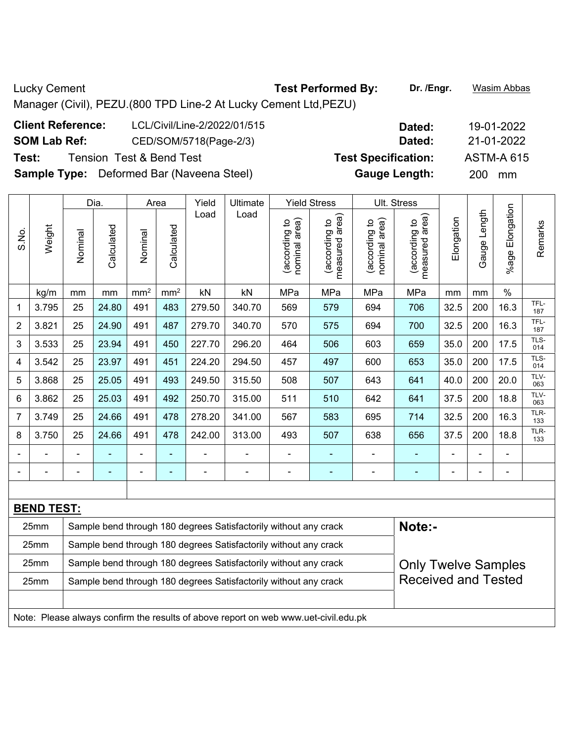Lucky Cement **Test Performed By:** Dr. /Engr. **Wasim Abbas Lucky** Cement Manager (Civil), PEZU.(800 TPD Line-2 At Lucky Cement Ltd,PEZU) **Client Reference:** LCL/Civil/Line-2/2022/01/515 **Dated:** 19-01-2022

**SOM Lab Ref:** CED/SOM/5718(Page-2/3) **Dated:** 21-01-2022

**Test:** Tension Test & Bend Test **Test Specification:** ASTM-A 615

**Sample Type:** Deformed Bar (Naveena Steel) **Gauge Length:** 200 mm

|                                                                          |                                                                                                        |         | Dia.       |                 | Area                     | Yield  | Ultimate                                                                            |                                | <b>Yield Stress</b>               |                                | Ult. Stress                     |            |              |                          |             |
|--------------------------------------------------------------------------|--------------------------------------------------------------------------------------------------------|---------|------------|-----------------|--------------------------|--------|-------------------------------------------------------------------------------------|--------------------------------|-----------------------------------|--------------------------------|---------------------------------|------------|--------------|--------------------------|-------------|
| S.No.                                                                    | Weight                                                                                                 | Nominal | Calculated | Nominal         | Calculated               | Load   | Load                                                                                | nominal area)<br>(according to | (according to  <br>measured area) | nominal area)<br>(according to | measured area)<br>(according to | Elongation | Gauge Length | Elongation<br>$%$ age    | Remarks     |
|                                                                          | kg/m                                                                                                   | mm      | mm         | mm <sup>2</sup> | mm <sup>2</sup>          | kN     | kN                                                                                  | MPa                            | MPa                               | MPa                            | MPa                             | mm         | mm           | $\%$                     |             |
| 1                                                                        | 3.795                                                                                                  | 25      | 24.80      | 491             | 483                      | 279.50 | 340.70                                                                              | 569                            | 579                               | 694                            | 706                             | 32.5       | 200          | 16.3                     | TFL-<br>187 |
| $\overline{2}$                                                           | 3.821                                                                                                  | 25      | 24.90      | 491             | 487                      | 279.70 | 340.70                                                                              | 570                            | 575                               | 694                            | 700                             | 32.5       | 200          | 16.3                     | TFL-<br>187 |
| 3                                                                        | 3.533                                                                                                  | 25      | 23.94      | 491             | 450                      | 227.70 | 296.20                                                                              | 464                            | 506                               | 603                            | 659                             | 35.0       | 200          | 17.5                     | TLS-<br>014 |
| 4                                                                        | 3.542                                                                                                  | 25      | 23.97      | 491             | 451                      | 224.20 | 294.50                                                                              | 457                            | 497                               | 600                            | 653                             | 35.0       | 200          | 17.5                     | TLS-<br>014 |
| 5                                                                        | 3.868                                                                                                  | 25      | 25.05      | 491             | 493                      | 249.50 | 315.50                                                                              | 508                            | 507                               | 643                            | 641                             | 40.0       | 200          | 20.0                     | TLV-<br>063 |
| 6                                                                        | 3.862                                                                                                  | 25      | 25.03      | 491             | 492                      | 250.70 | 315.00                                                                              | 511                            | 510                               | 642                            | 641                             | 37.5       | 200          | 18.8                     | TLV-<br>063 |
| 7                                                                        | 3.749                                                                                                  | 25      | 24.66      | 491             | 478                      | 278.20 | 341.00                                                                              | 567                            | 583                               | 695                            | 714                             | 32.5       | 200          | 16.3                     | TLR-<br>133 |
| 8                                                                        | 3.750                                                                                                  | 25      | 24.66      | 491             | 478                      | 242.00 | 313.00                                                                              | 493                            | 507                               | 638                            | 656                             | 37.5       | 200          | 18.8                     | TLR-<br>133 |
|                                                                          |                                                                                                        |         |            |                 |                          |        |                                                                                     |                                |                                   |                                |                                 |            |              |                          |             |
| $\blacksquare$                                                           |                                                                                                        |         |            | -               | $\overline{\phantom{0}}$ |        | $\overline{\phantom{a}}$                                                            | $\blacksquare$                 | $\overline{a}$                    | $\overline{\phantom{0}}$       | ۰                               |            |              | $\overline{\phantom{0}}$ |             |
|                                                                          |                                                                                                        |         |            |                 |                          |        |                                                                                     |                                |                                   |                                |                                 |            |              |                          |             |
|                                                                          | <b>BEND TEST:</b>                                                                                      |         |            |                 |                          |        |                                                                                     |                                |                                   |                                |                                 |            |              |                          |             |
|                                                                          | 25mm                                                                                                   |         |            |                 |                          |        | Sample bend through 180 degrees Satisfactorily without any crack                    |                                |                                   |                                | Note:-                          |            |              |                          |             |
|                                                                          | 25mm                                                                                                   |         |            |                 |                          |        | Sample bend through 180 degrees Satisfactorily without any crack                    |                                |                                   |                                |                                 |            |              |                          |             |
|                                                                          | Sample bend through 180 degrees Satisfactorily without any crack<br>25mm<br><b>Only Twelve Samples</b> |         |            |                 |                          |        |                                                                                     |                                |                                   |                                |                                 |            |              |                          |             |
| 25mm<br>Sample bend through 180 degrees Satisfactorily without any crack |                                                                                                        |         |            |                 |                          |        |                                                                                     |                                |                                   |                                | <b>Received and Tested</b>      |            |              |                          |             |
|                                                                          |                                                                                                        |         |            |                 |                          |        |                                                                                     |                                |                                   |                                |                                 |            |              |                          |             |
|                                                                          |                                                                                                        |         |            |                 |                          |        | Note: Please always confirm the results of above report on web www.uet.civil edu.pl |                                |                                   |                                |                                 |            |              |                          |             |

Note: Please always confirm the results of above report on web www.uet-civil.edu.pk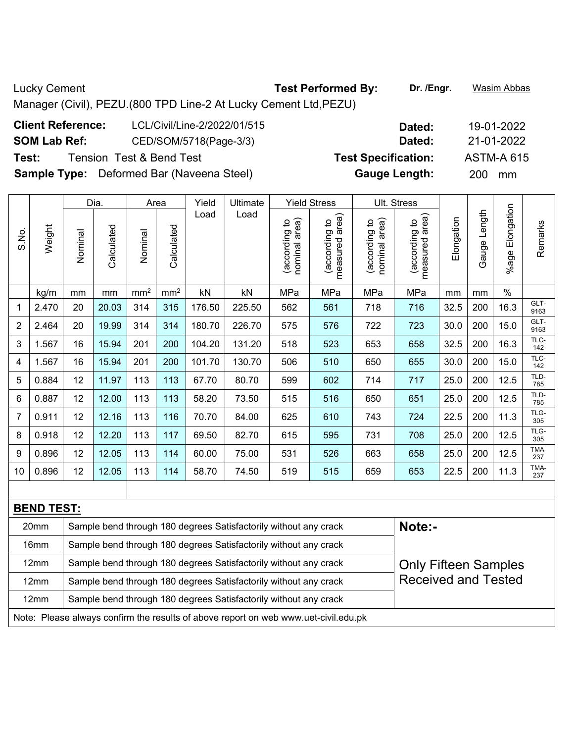Lucky Cement **Test Performed By:** Dr. /Engr. **Wasim Abbas Lucky** Cement Manager (Civil), PEZU.(800 TPD Line-2 At Lucky Cement Ltd,PEZU) **Client Reference:** LCL/Civil/Line-2/2022/01/515 **Dated:** 19-01-2022

**SOM Lab Ref:** CED/SOM/5718(Page-3/3) **Dated:** 21-01-2022

**Test:** Tension Test & Bend Test **Test Specification:** ASTM-A 615

**Sample Type:** Deformed Bar (Naveena Steel) **Gauge Length:** 200 mm

|       |                   |         | Dia.       |                 | Area            | Yield  | Ultimate                                                                                     |                                | <b>Yield Stress</b>                |                                | Ult. Stress                        |            |                 |                       |              |
|-------|-------------------|---------|------------|-----------------|-----------------|--------|----------------------------------------------------------------------------------------------|--------------------------------|------------------------------------|--------------------------------|------------------------------------|------------|-----------------|-----------------------|--------------|
| S.No. | Weight            | Nominal | Calculated | Nominal         | Calculated      | Load   | Load                                                                                         | nominal area)<br>(according to | area)<br>(according to<br>measured | nominal area)<br>(according to | area)<br>(according to<br>measured | Elongation | Length<br>Gauge | Elongation<br>$%$ age | Remarks      |
|       | kg/m              | mm      | mm         | mm <sup>2</sup> | mm <sup>2</sup> | kN     | kN                                                                                           | MPa                            | MPa                                | MPa                            | MPa                                | mm         | mm              | $\%$                  |              |
| 1     | 2.470             | 20      | 20.03      | 314             | 315             | 176.50 | 225.50                                                                                       | 562                            | 561                                | 718                            | 716                                | 32.5       | 200             | 16.3                  | GLT-<br>9163 |
| 2     | 2.464             | 20      | 19.99      | 314             | 314             | 180.70 | 226.70                                                                                       | 575                            | 576                                | 722                            | 723                                | 30.0       | 200             | 15.0                  | GLT-<br>9163 |
| 3     | 1.567             | 16      | 15.94      | 201             | 200             | 104.20 | 131.20                                                                                       | 518                            | 523                                | 653                            | 658                                | 32.5       | 200             | 16.3                  | TLC-<br>142  |
| 4     | 1.567             | 16      | 15.94      | 201             | 200             | 101.70 | 130.70                                                                                       | 506                            | 510                                | 650                            | 655                                | 30.0       | 200             | 15.0                  | TLC-<br>142  |
| 5     | 0.884             | 12      | 11.97      | 113             | 113             | 67.70  | 80.70                                                                                        | 599                            | 602                                | 714                            | 717                                | 25.0       | 200             | 12.5                  | TLD-<br>785  |
| 6     | 0.887             | 12      | 12.00      | 113             | 113             | 58.20  | 73.50                                                                                        | 515                            | 516                                | 650                            | 651                                | 25.0       | 200             | 12.5                  | TLD-<br>785  |
| 7     | 0.911             | 12      | 12.16      | 113             | 116             | 70.70  | 84.00                                                                                        | 625                            | 610                                | 743                            | 724                                | 22.5       | 200             | 11.3                  | TLG-<br>305  |
| 8     | 0.918             | 12      | 12.20      | 113             | 117             | 69.50  | 82.70                                                                                        | 615                            | 595                                | 731                            | 708                                | 25.0       | 200             | 12.5                  | TLG-<br>305  |
| 9     | 0.896             | 12      | 12.05      | 113             | 114             | 60.00  | 75.00                                                                                        | 531                            | 526                                | 663                            | 658                                | 25.0       | 200             | 12.5                  | TMA-<br>237  |
| 10    | 0.896             | 12      | 12.05      | 113             | 114             | 58.70  | 74.50                                                                                        | 519                            | 515                                | 659                            | 653                                | 22.5       | 200             | 11.3                  | TMA-<br>237  |
|       |                   |         |            |                 |                 |        |                                                                                              |                                |                                    |                                |                                    |            |                 |                       |              |
|       | <b>BEND TEST:</b> |         |            |                 |                 |        |                                                                                              |                                |                                    |                                |                                    |            |                 |                       |              |
|       | $\Omega$          |         |            |                 |                 |        | Openinia, la quel tipo contrato de Organização de Santa distribución e contra unha construir |                                |                                    |                                | $M = 4 - 1$                        |            |                 |                       |              |

| 20 <sub>mm</sub>                                                                    | Note:-<br>Sample bend through 180 degrees Satisfactorily without any crack                      |                            |  |  |  |  |  |  |  |  |  |  |
|-------------------------------------------------------------------------------------|-------------------------------------------------------------------------------------------------|----------------------------|--|--|--|--|--|--|--|--|--|--|
| 16mm                                                                                | Sample bend through 180 degrees Satisfactorily without any crack                                |                            |  |  |  |  |  |  |  |  |  |  |
| 12 <sub>mm</sub>                                                                    | Sample bend through 180 degrees Satisfactorily without any crack<br><b>Only Fifteen Samples</b> |                            |  |  |  |  |  |  |  |  |  |  |
| 12 <sub>mm</sub>                                                                    | Sample bend through 180 degrees Satisfactorily without any crack                                | <b>Received and Tested</b> |  |  |  |  |  |  |  |  |  |  |
| 12 <sub>mm</sub>                                                                    | Sample bend through 180 degrees Satisfactorily without any crack                                |                            |  |  |  |  |  |  |  |  |  |  |
| Note: Please always confirm the results of above report on web www.uet-civil.edu.pk |                                                                                                 |                            |  |  |  |  |  |  |  |  |  |  |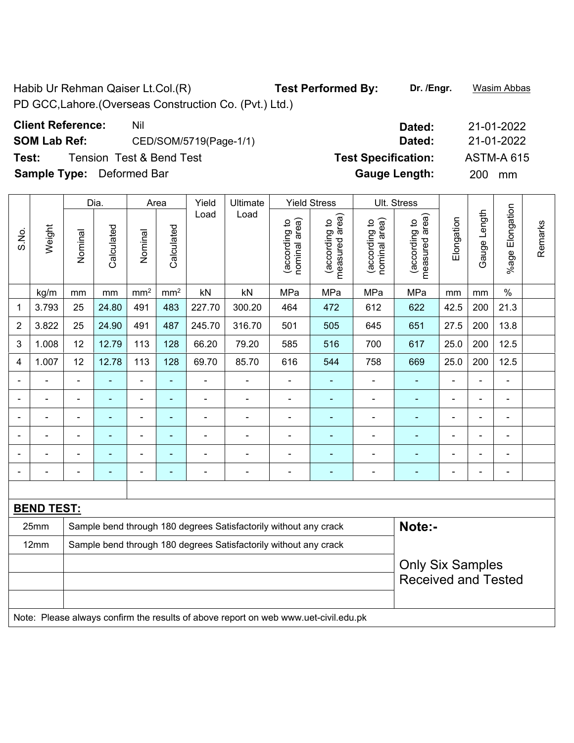Habib Ur Rehman Qaiser Lt.Col.(R) **Test Performed By:** Dr. /Engr. **Wasim Abbas** PD GCC,Lahore.(Overseas Construction Co. (Pvt.) Ltd.)

| <b>Client Reference:</b> | Nil                      | Dated:                     | 21-01-2022        |
|--------------------------|--------------------------|----------------------------|-------------------|
| <b>SOM Lab Ref:</b>      | CED/SOM/5719(Page-1/1)   | Dated:                     | 21-01-2022        |
| Test:                    | Tension Test & Bend Test | <b>Test Specification:</b> | <b>ASTM-A 615</b> |

**Sample Type:** Deformed Bar

|                |                   |                                                                  | Dia.           |                 | Area           | Yield          | Ultimate                                                                            |                                | <b>Yield Stress</b>             |                                | Ult. Stress                     |                |                |                 |         |  |  |  |
|----------------|-------------------|------------------------------------------------------------------|----------------|-----------------|----------------|----------------|-------------------------------------------------------------------------------------|--------------------------------|---------------------------------|--------------------------------|---------------------------------|----------------|----------------|-----------------|---------|--|--|--|
| S.No.          | Weight            | Nominal                                                          | Calculated     | Nominal         | Calculated     | Load           | Load                                                                                | nominal area)<br>(according to | measured area)<br>(according to | nominal area)<br>(according to | measured area)<br>(according to | Elongation     | Gauge Length   | %age Elongation | Remarks |  |  |  |
|                | kg/m              | mm                                                               | $\,mm$         | mm <sup>2</sup> | $\text{mm}^2$  | kN             | kN                                                                                  | MPa                            | MPa                             | MPa                            | MPa                             | mm             | mm             | $\%$            |         |  |  |  |
| 1              | 3.793             | 25                                                               | 24.80          | 491             | 483            | 227.70         | 300.20                                                                              | 464                            | 472                             | 612                            | 622                             | 42.5           | 200            | 21.3            |         |  |  |  |
| $\overline{2}$ | 3.822             | 25                                                               | 24.90          | 491             | 487            | 245.70         | 316.70                                                                              | 501                            | 505                             | 645                            | 651                             | 27.5           | 200            | 13.8            |         |  |  |  |
| 3              | 1.008             | 12                                                               | 12.79          | 113             | 128            | 66.20          | 79.20                                                                               | 585                            | 516                             | 700                            | 617                             | 25.0           | 200            | 12.5            |         |  |  |  |
| 4              | 1.007             | 12                                                               | 12.78          | 113             | 128            | 69.70          | 85.70                                                                               | 616                            | 544                             | 758                            | 669                             | 25.0           | 200            | 12.5            |         |  |  |  |
|                |                   | $\blacksquare$                                                   |                | $\overline{a}$  | $\blacksquare$ |                | $\blacksquare$                                                                      | ä,                             | ٠                               | $\blacksquare$                 | $\blacksquare$                  |                |                | $\blacksquare$  |         |  |  |  |
|                |                   |                                                                  |                | $\blacksquare$  | ä,             | ÷              | $\blacksquare$                                                                      | $\blacksquare$                 | ÷                               | ÷,                             |                                 |                |                |                 |         |  |  |  |
|                |                   | $\overline{\phantom{0}}$                                         | $\blacksquare$ | $\blacksquare$  | $\blacksquare$ | $\blacksquare$ | $\overline{\phantom{0}}$                                                            | $\blacksquare$                 | ٠                               | $\blacksquare$                 | $\blacksquare$                  | $\blacksquare$ | $\blacksquare$ | $\blacksquare$  |         |  |  |  |
| $\blacksquare$ |                   | $\blacksquare$                                                   | L,             | $\blacksquare$  | ä,             | $\overline{a}$ | ä,                                                                                  | $\blacksquare$                 | $\blacksquare$                  | $\blacksquare$                 | ä,                              | $\blacksquare$ | $\blacksquare$ | $\blacksquare$  |         |  |  |  |
|                |                   | $\blacksquare$                                                   | ÷              | $\blacksquare$  | $\blacksquare$ | $\blacksquare$ | ä,                                                                                  | $\blacksquare$                 | $\blacksquare$                  | $\overline{\phantom{a}}$       | $\blacksquare$                  | $\blacksquare$ | $\blacksquare$ | $\blacksquare$  |         |  |  |  |
|                | $\blacksquare$    | $\blacksquare$                                                   | $\blacksquare$ | $\blacksquare$  | ÷              | $\blacksquare$ | $\blacksquare$                                                                      | $\blacksquare$                 | $\blacksquare$                  | $\overline{\phantom{a}}$       | $\blacksquare$                  | $\blacksquare$ | $\blacksquare$ | $\blacksquare$  |         |  |  |  |
|                |                   |                                                                  |                |                 |                |                |                                                                                     |                                |                                 |                                |                                 |                |                |                 |         |  |  |  |
|                | <b>BEND TEST:</b> |                                                                  |                |                 |                |                |                                                                                     |                                |                                 |                                |                                 |                |                |                 |         |  |  |  |
|                | 25mm              |                                                                  |                |                 |                |                | Sample bend through 180 degrees Satisfactorily without any crack                    |                                |                                 |                                | Note:-                          |                |                |                 |         |  |  |  |
|                | 12mm              | Sample bend through 180 degrees Satisfactorily without any crack |                |                 |                |                |                                                                                     |                                |                                 |                                |                                 |                |                |                 |         |  |  |  |
|                |                   |                                                                  |                |                 |                |                |                                                                                     |                                |                                 |                                | <b>Only Six Samples</b>         |                |                |                 |         |  |  |  |
|                |                   |                                                                  |                |                 |                |                |                                                                                     |                                |                                 | <b>Received and Tested</b>     |                                 |                |                |                 |         |  |  |  |
|                |                   |                                                                  |                |                 |                |                |                                                                                     |                                |                                 |                                |                                 |                |                |                 |         |  |  |  |
|                |                   |                                                                  |                |                 |                |                | Note: Please always confirm the results of above report on web www.uet-civil.edu.pk |                                |                                 |                                |                                 |                |                |                 |         |  |  |  |

| Dated:               | 21-01-2022        |
|----------------------|-------------------|
| Dated:               | 21-01-2022        |
| est Specification:   | <b>ASTM-A 615</b> |
| <b>Gauge Length:</b> | 200<br>mm         |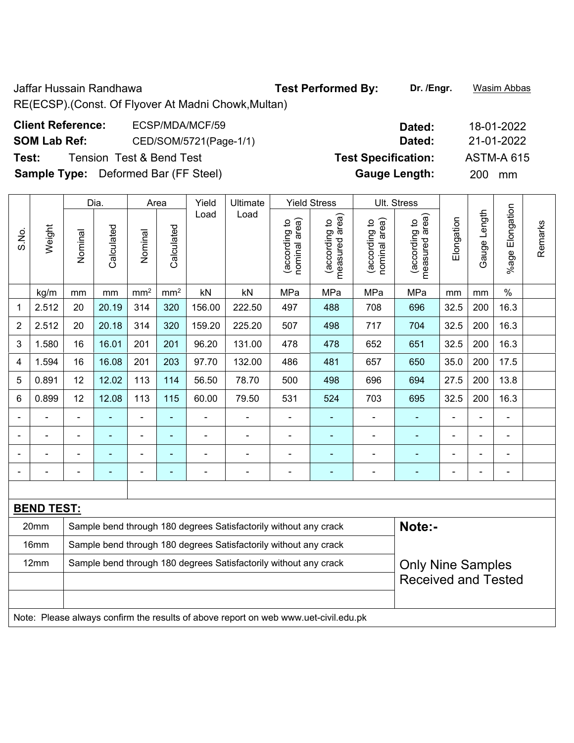Jaffar Hussain Randhawa **Test Performed By: Dr. /Engr.** Wasim Abbas RE(ECSP).(Const. Of Flyover At Madni Chowk,Multan)

| <b>Client Reference:</b> | ECSP/MDA/MCF/59                             | Dated:                     | 18-01-2022        |
|--------------------------|---------------------------------------------|----------------------------|-------------------|
| <b>SOM Lab Ref:</b>      | CED/SOM/5721(Page-1/1)                      | Dated:                     | 21-01-2022        |
| Test:                    | Tension Test & Bend Test                    | <b>Test Specification:</b> | <b>ASTM-A 615</b> |
|                          | <b>Sample Type:</b> Deformed Bar (FF Steel) | <b>Gauge Length:</b>       | <b>200</b><br>mm  |

|                                                                          |                                                                          |                | Dia.       |                          | Area            | Yield                    | Ultimate                                                         |                                | <b>Yield Stress</b>                |                                | Ult. Stress                        |                          |                |                       |         |
|--------------------------------------------------------------------------|--------------------------------------------------------------------------|----------------|------------|--------------------------|-----------------|--------------------------|------------------------------------------------------------------|--------------------------------|------------------------------------|--------------------------------|------------------------------------|--------------------------|----------------|-----------------------|---------|
| S.No.                                                                    | Weight                                                                   | Nominal        | Calculated | Nominal                  | Calculated      | Load                     | Load                                                             | nominal area)<br>(according to | area)<br>(according to<br>measured | nominal area)<br>(according to | area)<br>(according to<br>measured | Elongation               | Gauge Length   | Elongation<br>$%$ age | Remarks |
|                                                                          | kg/m                                                                     | mm             | mm         | mm <sup>2</sup>          | mm <sup>2</sup> | kN                       | kN                                                               | MPa                            | MPa                                | MPa                            | MPa                                | mm                       | mm             | $\frac{0}{0}$         |         |
| 1                                                                        | 2.512                                                                    | 20             | 20.19      | 314                      | 320             | 156.00                   | 222.50                                                           | 497                            | 488                                | 708                            | 696                                | 32.5                     | 200            | 16.3                  |         |
| $\overline{2}$                                                           | 2.512                                                                    | 20             | 20.18      | 314                      | 320             | 159.20                   | 225.20                                                           | 507                            | 498                                | 717                            | 704                                | 32.5                     | 200            | 16.3                  |         |
| 3                                                                        | 1.580                                                                    | 16             | 16.01      | 201                      | 201             | 96.20                    | 131.00                                                           | 478                            | 478                                | 652                            | 651                                | 32.5                     | 200            | 16.3                  |         |
| 4                                                                        | 1.594                                                                    | 16             | 16.08      | 201                      | 203             | 97.70                    | 132.00                                                           | 486                            | 481                                | 657                            | 650                                | 35.0                     | 200            | 17.5                  |         |
| 5                                                                        | 0.891                                                                    | 12             | 12.02      | 113                      | 114             | 56.50                    | 78.70                                                            | 500                            | 498                                | 696                            | 694                                | 27.5                     | 200            | 13.8                  |         |
| 6                                                                        | 0.899                                                                    | 12             | 12.08      | 113                      | 115             | 60.00                    | 79.50                                                            | 531                            | 524                                | 703                            | 695                                | 32.5                     | 200            | 16.3                  |         |
|                                                                          |                                                                          |                |            |                          |                 |                          |                                                                  |                                |                                    |                                |                                    |                          |                | $\blacksquare$        |         |
|                                                                          |                                                                          | $\blacksquare$ | ۰          | $\overline{\phantom{0}}$ |                 |                          |                                                                  | ÷                              |                                    |                                |                                    |                          | ۰              | $\blacksquare$        |         |
|                                                                          |                                                                          |                |            |                          |                 |                          |                                                                  |                                |                                    |                                |                                    |                          | $\blacksquare$ | $\blacksquare$        |         |
|                                                                          |                                                                          |                | ۰          | $\blacksquare$           |                 | $\overline{\phantom{0}}$ |                                                                  | $\blacksquare$                 | $\blacksquare$                     | $\blacksquare$                 |                                    |                          | $\blacksquare$ | $\blacksquare$        |         |
|                                                                          |                                                                          |                |            |                          |                 |                          |                                                                  |                                |                                    |                                |                                    |                          |                |                       |         |
| <b>BEND TEST:</b>                                                        |                                                                          |                |            |                          |                 |                          |                                                                  |                                |                                    |                                |                                    |                          |                |                       |         |
| 20mm<br>Sample bend through 180 degrees Satisfactorily without any crack |                                                                          |                |            |                          |                 |                          |                                                                  |                                |                                    |                                | Note:-                             |                          |                |                       |         |
|                                                                          | 16mm                                                                     |                |            |                          |                 |                          | Sample bend through 180 degrees Satisfactorily without any crack |                                |                                    |                                |                                    |                          |                |                       |         |
|                                                                          | 12mm<br>Sample bend through 180 degrees Satisfactorily without any crack |                |            |                          |                 |                          |                                                                  |                                |                                    |                                |                                    | <b>Only Nine Samples</b> |                |                       |         |

Received and Tested

Note: Please always confirm the results of above report on web www.uet-civil.edu.pk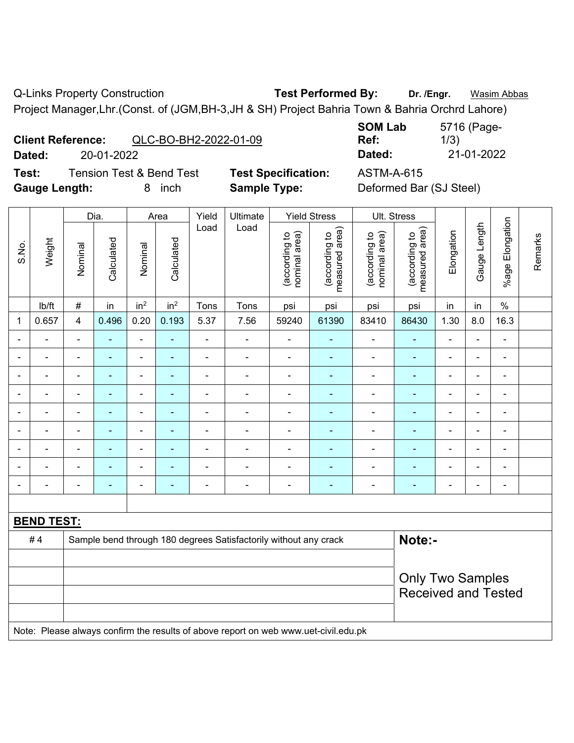Q-Links Property Construction **Test Performed By:** Dr. /Engr. **Wasim Abbas** 

Project Manager,Lhr.(Const. of (JGM,BH-3,JH & SH) Project Bahria Town & Bahria Orchrd Lahore)

| <b>Client Reference:</b> |            | QLC-BO-BH2-2022-01-09 |
|--------------------------|------------|-----------------------|
| <b>Deledi</b>            | no as nano |                       |

**Test:** Tension Test & Bend Test **Test Specification:** ASTM-A-615

**Gauge Length:** 8 inch **Sample Type:** Deformed Bar (SJ Steel)

**SOM Lab Ref:**  5716 (Page-1/3) **Dated:** 20-01-2022 **Dated:** 21-01-2022

|                          |                   | Dia.                    |                |                              | Area            | Yield          | Ultimate                                                                            |                                | <b>Yield Stress</b>             |                                | Ult. Stress                     |                                                       |                          |                          |         |
|--------------------------|-------------------|-------------------------|----------------|------------------------------|-----------------|----------------|-------------------------------------------------------------------------------------|--------------------------------|---------------------------------|--------------------------------|---------------------------------|-------------------------------------------------------|--------------------------|--------------------------|---------|
| S.No.                    | Weight            | Nominal                 | Calculated     | Nominal                      | Calculated      | Load           | Load                                                                                | nominal area)<br>(according to | (according to<br>measured area) | (according to<br>nominal area) | (according to<br>measured area) | Elongation                                            | Gauge Length             | %age Elongation          | Remarks |
|                          | lb/ft             | $\#$                    | in             | in <sup>2</sup>              | in <sup>2</sup> | Tons           | Tons                                                                                | psi                            | psi                             | psi                            | psi                             | in                                                    | in                       | $\%$                     |         |
| 1                        | 0.657             | $\overline{\mathbf{4}}$ | 0.496          | 0.20                         | 0.193           | 5.37           | 7.56                                                                                | 59240                          | 61390                           | 83410                          | 86430                           | 1.30                                                  | 8.0                      | 16.3                     |         |
| $\blacksquare$           |                   | ä,                      | $\blacksquare$ | $\blacksquare$               | ÷,              | $\blacksquare$ | $\overline{\phantom{a}}$                                                            | $\blacksquare$                 | $\blacksquare$                  | $\blacksquare$                 | $\blacksquare$                  | $\qquad \qquad \blacksquare$                          | $\blacksquare$           | $\frac{1}{2}$            |         |
| $\overline{\phantom{a}}$ | $\blacksquare$    | $\blacksquare$          | $\blacksquare$ | ÷,                           | $\blacksquare$  | $\blacksquare$ | $\overline{\phantom{a}}$                                                            | $\overline{\phantom{a}}$       | $\blacksquare$                  | $\blacksquare$                 | $\blacksquare$                  | $\blacksquare$                                        | $\blacksquare$           | $\blacksquare$           |         |
| $\blacksquare$           | $\blacksquare$    | $\blacksquare$          | $\blacksquare$ | ÷,                           | ÷               | $\blacksquare$ | $\overline{\phantom{a}}$                                                            | $\blacksquare$                 | $\blacksquare$                  | $\blacksquare$                 | $\blacksquare$                  | $\blacksquare$                                        | ä,                       | $\blacksquare$           |         |
| $\blacksquare$           | ÷                 | $\blacksquare$          | $\blacksquare$ | $\qquad \qquad \blacksquare$ | ä,              | $\blacksquare$ | $\overline{\phantom{a}}$                                                            | $\overline{\phantom{a}}$       | $\blacksquare$                  | $\blacksquare$                 | $\blacksquare$                  |                                                       | $\overline{\phantom{a}}$ | $\blacksquare$           |         |
|                          |                   | $\blacksquare$          | $\blacksquare$ | $\blacksquare$               | L.              | $\blacksquare$ | $\blacksquare$                                                                      | $\blacksquare$                 | $\blacksquare$                  | ÷,                             | $\overline{a}$                  |                                                       |                          | $\blacksquare$           |         |
|                          |                   | $\blacksquare$          |                | Ē,                           |                 |                | $\blacksquare$                                                                      | $\blacksquare$                 | $\blacksquare$                  | ÷                              | ä,                              |                                                       |                          | $\blacksquare$           |         |
| $\blacksquare$           |                   | $\blacksquare$          | ٠              | $\blacksquare$               | ٠               | $\blacksquare$ | $\blacksquare$                                                                      | $\blacksquare$                 | ٠                               | $\blacksquare$                 | $\blacksquare$                  | $\blacksquare$                                        | $\overline{\phantom{0}}$ | $\blacksquare$           |         |
| $\blacksquare$           |                   | Ē,                      | $\blacksquare$ | $\blacksquare$               | ä,              | $\blacksquare$ | $\blacksquare$                                                                      | $\blacksquare$                 | $\blacksquare$                  | $\blacksquare$                 | $\blacksquare$                  | $\blacksquare$                                        | ä,                       | $\overline{\phantom{a}}$ |         |
| $\blacksquare$           |                   | $\blacksquare$          | ٠              | $\blacksquare$               | ٠               | $\blacksquare$ | $\blacksquare$                                                                      | $\blacksquare$                 | $\blacksquare$                  | $\overline{\phantom{a}}$       | $\blacksquare$                  | $\blacksquare$                                        | $\blacksquare$           | $\blacksquare$           |         |
|                          |                   |                         |                |                              |                 |                |                                                                                     |                                |                                 |                                |                                 |                                                       |                          |                          |         |
|                          | <b>BEND TEST:</b> |                         |                |                              |                 |                |                                                                                     |                                |                                 |                                |                                 |                                                       |                          |                          |         |
|                          | #4                |                         |                |                              |                 |                | Sample bend through 180 degrees Satisfactorily without any crack                    |                                |                                 |                                | Note:-                          |                                                       |                          |                          |         |
|                          |                   |                         |                |                              |                 |                |                                                                                     |                                |                                 |                                |                                 |                                                       |                          |                          |         |
|                          |                   |                         |                |                              |                 |                |                                                                                     |                                |                                 |                                |                                 | <b>Only Two Samples</b><br><b>Received and Tested</b> |                          |                          |         |
|                          |                   |                         |                |                              |                 |                | Note: Please always confirm the results of above report on web www.uet-civil.edu.pk |                                |                                 |                                |                                 |                                                       |                          |                          |         |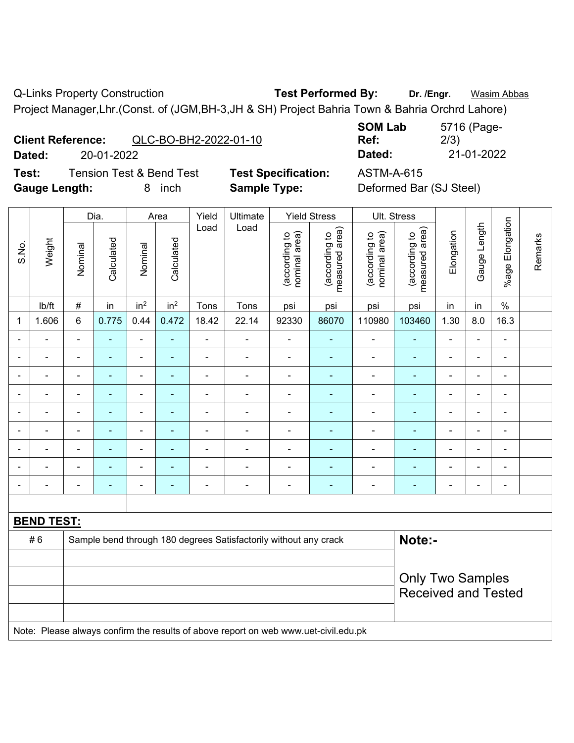Q-Links Property Construction **Test Performed By:** Dr. /Engr. **Wasim Abbas** 

Project Manager,Lhr.(Const. of (JGM,BH-3,JH & SH) Project Bahria Town & Bahria Orchrd Lahore)

|        | <b>Client Reference:</b><br>QLC-BO-BH2-2022-01-10 |                            | UVII LUM<br>Ref: |
|--------|---------------------------------------------------|----------------------------|------------------|
| Dated: | 20-01-2022                                        |                            | Dated:           |
| Test:  | <b>Tension Test &amp; Bend Test</b>               | <b>Test Specification:</b> | ASTM-A-615       |

**Gauge Length:** 8 inch **Sample Type:** Deformed Bar (SJ Steel)

**SOM Lab Ref:**  5716 (Page-2/3) **Dated:** 20-01-2022 **Dated:** 21-01-2022

|                |                   |                                                                                     | Dia.           |                              | Area            | Yield          | Ultimate                                                         |                                | <b>Yield Stress</b>             |                                | Ult. Stress                     |                |                          |                 |         |
|----------------|-------------------|-------------------------------------------------------------------------------------|----------------|------------------------------|-----------------|----------------|------------------------------------------------------------------|--------------------------------|---------------------------------|--------------------------------|---------------------------------|----------------|--------------------------|-----------------|---------|
| S.No.          | Weight            | Nominal                                                                             | Calculated     | Nominal                      | Calculated      | Load           | Load                                                             | nominal area)<br>(according to | measured area)<br>(according to | nominal area)<br>(according to | measured area)<br>(according to | Elongation     | Gauge Length             | %age Elongation | Remarks |
|                | lb/ft             | $\#$                                                                                | in             | in <sup>2</sup>              | in <sup>2</sup> | Tons           | Tons                                                             | psi                            | psi                             | psi                            | psi                             | in             | in                       | $\%$            |         |
| 1              | 1.606             | 6                                                                                   | 0.775          | 0.44                         | 0.472           | 18.42          | 22.14                                                            | 92330                          | 86070                           | 110980                         | 103460                          | 1.30           | 8.0                      | 16.3            |         |
| $\blacksquare$ |                   | $\blacksquare$                                                                      | ÷,             | $\qquad \qquad \blacksquare$ | ÷,              | $\blacksquare$ | $\blacksquare$                                                   | $\blacksquare$                 | $\blacksquare$                  | $\blacksquare$                 | ÷                               | $\blacksquare$ | ä,                       | $\blacksquare$  |         |
| $\blacksquare$ | $\blacksquare$    | $\blacksquare$                                                                      | $\blacksquare$ | $\overline{\phantom{a}}$     | ٠               | $\blacksquare$ | $\blacksquare$                                                   | $\blacksquare$                 | $\blacksquare$                  | $\overline{\phantom{a}}$       | $\blacksquare$                  | $\blacksquare$ | ä,                       | $\blacksquare$  |         |
| $\overline{a}$ | $\blacksquare$    | $\overline{\phantom{a}}$                                                            | ä,             | $\qquad \qquad \blacksquare$ | $\blacksquare$  | $\overline{a}$ | $\blacksquare$                                                   | $\blacksquare$                 | $\blacksquare$                  | $\blacksquare$                 | $\blacksquare$                  | ۰              | ÷                        | $\blacksquare$  |         |
| $\blacksquare$ | $\blacksquare$    | $\blacksquare$                                                                      | ÷,             | $\blacksquare$               | ÷               | $\blacksquare$ | $\blacksquare$                                                   | $\overline{\phantom{a}}$       | $\blacksquare$                  | $\blacksquare$                 | ÷                               | $\blacksquare$ | ä,                       | $\blacksquare$  |         |
|                | $\blacksquare$    | $\blacksquare$                                                                      | ÷              | ÷,                           | ۰               | $\blacksquare$ | $\blacksquare$                                                   | $\overline{a}$                 | $\blacksquare$                  | ÷                              | $\blacksquare$                  | ۰              | ÷                        | $\blacksquare$  |         |
|                |                   | $\blacksquare$                                                                      | ÷              | ÷,                           | ۰               | $\blacksquare$ | $\blacksquare$                                                   | $\overline{\phantom{a}}$       | $\blacksquare$                  | ÷,                             | ۰                               | $\blacksquare$ | $\blacksquare$           | $\blacksquare$  |         |
|                |                   | $\blacksquare$                                                                      | ۰              | ۰                            | ÷               | $\blacksquare$ |                                                                  | $\blacksquare$                 | $\blacksquare$                  | $\blacksquare$                 |                                 |                |                          | $\blacksquare$  |         |
|                |                   |                                                                                     | ÷              | ÷                            |                 |                |                                                                  |                                |                                 | Ē,                             |                                 |                |                          | $\blacksquare$  |         |
| $\blacksquare$ |                   | $\blacksquare$                                                                      | ۰              | $\blacksquare$               | ۰               | $\blacksquare$ | $\blacksquare$                                                   | $\blacksquare$                 | ÷                               | $\blacksquare$                 | ۰                               | $\blacksquare$ | $\overline{\phantom{0}}$ | $\blacksquare$  |         |
|                |                   |                                                                                     |                |                              |                 |                |                                                                  |                                |                                 |                                |                                 |                |                          |                 |         |
|                | <b>BEND TEST:</b> |                                                                                     |                |                              |                 |                |                                                                  |                                |                                 |                                |                                 |                |                          |                 |         |
|                | #6                |                                                                                     |                |                              |                 |                | Sample bend through 180 degrees Satisfactorily without any crack |                                |                                 |                                | Note:-                          |                |                          |                 |         |
|                |                   |                                                                                     |                |                              |                 |                |                                                                  |                                |                                 |                                |                                 |                |                          |                 |         |
|                |                   |                                                                                     |                |                              |                 |                |                                                                  |                                |                                 |                                | <b>Only Two Samples</b>         |                |                          |                 |         |
|                |                   |                                                                                     |                |                              |                 |                |                                                                  |                                |                                 |                                | <b>Received and Tested</b>      |                |                          |                 |         |
|                |                   | Note: Please always confirm the results of above report on web www.uet-civil.edu.pk |                |                              |                 |                |                                                                  |                                |                                 |                                |                                 |                |                          |                 |         |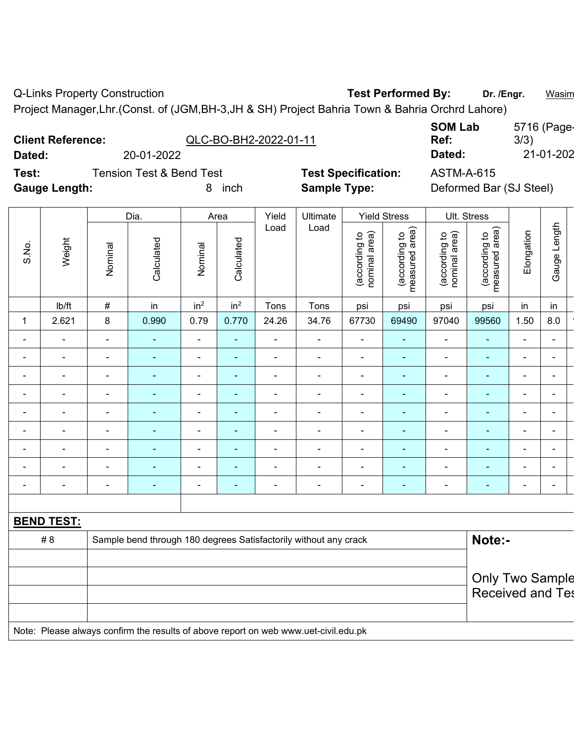Q-Links Property Construction **Test Performed By:** Dr. /Engr. **Wasim** Dr. /Engr. **Wasim** 

Project Manager,Lhr.(Const. of (JGM,BH-3,JH & SH) Project Bahria Town & Bahria Orchrd Lahore)

|                      | <b>Client Reference:</b> |                                     | QLC-BO-BH2-2022-01-11 |       | <b>SOM Lab</b><br>Ref: |                            |                 |                   |                         | 3/3)           | 5716 (Page- |
|----------------------|--------------------------|-------------------------------------|-----------------------|-------|------------------------|----------------------------|-----------------|-------------------|-------------------------|----------------|-------------|
| Dated:               |                          | 20-01-2022                          |                       |       |                        |                            |                 | Dated:            |                         |                | 21-01-202   |
| Test:                |                          | <b>Tension Test &amp; Bend Test</b> |                       |       |                        | <b>Test Specification:</b> |                 | <b>ASTM-A-615</b> |                         |                |             |
| <b>Gauge Length:</b> |                          |                                     | inch<br>8             |       | <b>Sample Type:</b>    |                            |                 |                   | Deformed Bar (SJ Steel) |                |             |
|                      |                          |                                     |                       |       |                        |                            |                 |                   |                         |                |             |
|                      |                          | Dia.                                | Area                  | Yield | Ultimate               | <b>Yield Stress</b>        |                 | Ult. Stress       |                         |                |             |
|                      |                          |                                     |                       | Load  | Load                   | $\overline{\phantom{0}}$   | $\widehat{\pi}$ |                   | $\widehat{a}$           | $\overline{ }$ | 点           |

| S.No.                    | Weight | Nominal                  | Calculated               | Nominal                  | Calculated               | Load                     | Load                     | nominal area)<br>(according to | measured area)<br>(according to | nominal area)<br>(according to | area)<br>(according to<br>measured | Elongation     | Gauge Length             |
|--------------------------|--------|--------------------------|--------------------------|--------------------------|--------------------------|--------------------------|--------------------------|--------------------------------|---------------------------------|--------------------------------|------------------------------------|----------------|--------------------------|
|                          | Ib/ft  | $\#$                     | in                       | in <sup>2</sup>          | in <sup>2</sup>          | Tons                     | Tons                     | psi                            | psi                             | psi                            | psi                                | in             | in                       |
| 1                        | 2.621  | 8                        | 0.990                    | 0.79                     | 0.770                    | 24.26                    | 34.76                    | 67730                          | 69490                           | 97040                          | 99560                              | 1.50           | 8.0                      |
| $\blacksquare$           |        | $\blacksquare$           | $\overline{\phantom{a}}$ | ۰                        | $\blacksquare$           | ۰                        | $\overline{\phantom{a}}$ | $\blacksquare$                 | ٠                               | $\blacksquare$                 | $\blacksquare$                     | $\blacksquare$ | ۰                        |
| $\,$ $\,$                |        | $\blacksquare$           | $\overline{\phantom{a}}$ | $\overline{\phantom{0}}$ | $\overline{\phantom{a}}$ | ۰                        | $\overline{\phantom{0}}$ | ۰                              | ٠                               | $\blacksquare$                 | $\overline{\phantom{a}}$           | ۰              | -                        |
| $\overline{\phantom{a}}$ |        | $\blacksquare$           | $\overline{\phantom{a}}$ | ۰                        | $\overline{\phantom{a}}$ | $\blacksquare$           | $\overline{\phantom{a}}$ | -                              | ٠                               | $\blacksquare$                 | $\blacksquare$                     | ۰              | $\blacksquare$           |
| $\blacksquare$           |        | $\blacksquare$           | $\overline{\phantom{a}}$ | $\overline{\phantom{a}}$ | ۰                        | -                        | $\overline{\phantom{0}}$ | -                              | $\sim$                          | $\blacksquare$                 | $\blacksquare$                     | -              | ۰                        |
| $\blacksquare$           |        | $\blacksquare$           | $\overline{\phantom{0}}$ | $\overline{\phantom{0}}$ | $\overline{\phantom{a}}$ | $\blacksquare$           | $\overline{\phantom{a}}$ | -                              | $\blacksquare$                  | $\blacksquare$                 | $\overline{\phantom{a}}$           | ۰              | $\overline{\phantom{0}}$ |
| $\blacksquare$           |        | $\overline{a}$           | $\overline{\phantom{0}}$ | ۰                        | ٠                        | $\blacksquare$           | $\overline{\phantom{0}}$ | $\overline{\phantom{0}}$       | $\blacksquare$                  | $\blacksquare$                 | $\overline{\phantom{a}}$           | $\blacksquare$ | $\blacksquare$           |
| $\blacksquare$           |        | $\blacksquare$           | $\overline{\phantom{a}}$ | ۰                        | $\overline{\phantom{0}}$ | $\blacksquare$           | $\overline{\phantom{a}}$ | $\overline{\phantom{0}}$       | $\blacksquare$                  | $\blacksquare$                 | $\overline{\phantom{a}}$           | ۰              | $\blacksquare$           |
| $\blacksquare$           |        | $\blacksquare$           |                          | ۰                        | ٠                        | -                        | $\overline{\phantom{a}}$ | $\blacksquare$                 | ۰                               | $\blacksquare$                 | $\overline{\phantom{a}}$           | ۰              | $\blacksquare$           |
|                          |        | $\overline{\phantom{0}}$ |                          | -                        |                          | $\overline{\phantom{0}}$ |                          |                                |                                 |                                |                                    | -              |                          |

**BEND TEST:** 

| # 8 | Sample bend through 180 degrees Satisfactorily without any crack                    | Note:-                  |
|-----|-------------------------------------------------------------------------------------|-------------------------|
|     |                                                                                     |                         |
|     |                                                                                     | <b>Only Two Sample</b>  |
|     |                                                                                     | <b>Received and Tes</b> |
|     |                                                                                     |                         |
|     | Note: Please always confirm the results of above report on web www.uet-civil.edu.pk |                         |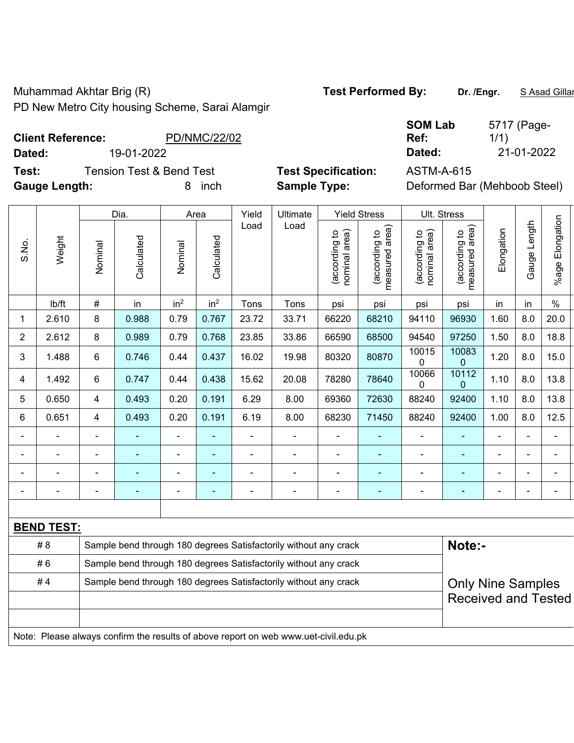Muhammad Akhtar Brig (R) **Test Performed By:** Dr. /Engr. **SAsad Gillan** By: Dr. /Engr. **SAsad Gillan** PD New Metro City housing Scheme, Sarai Alamgir

1/1)

5717 (Page-

**Client Reference:** PD/NMC/22/02

**Dated:** 19-01-2022 **Dated:** 21-01-2022

**Test:** Tension Test & Bend Test **Test Specification:** ASTM-A-615 **Gauge Length:** 8 inch **Sample Type:** Deformed Bar (Mehboob Steel)

| Deformed Bar (Menboob Steel |
|-----------------------------|
|                             |

|                |                                                                                     |                                                                  | Dia.                     |                              | Area            | Yield          | Ultimate                                                         |                                | <b>Yield Stress</b>             |                                | Ult. Stress                                            |            |                |                 |
|----------------|-------------------------------------------------------------------------------------|------------------------------------------------------------------|--------------------------|------------------------------|-----------------|----------------|------------------------------------------------------------------|--------------------------------|---------------------------------|--------------------------------|--------------------------------------------------------|------------|----------------|-----------------|
| S.No.          | Weight                                                                              | Nominal                                                          | Calculated               | Nominal                      | Calculated      | Load           | Load                                                             | nominal area)<br>(according to | (according to<br>measured area) | (according to<br>nominal area) | (according to<br>measured area)                        | Elongation | Gauge Length   | %age Elongation |
|                | lb/ft                                                                               | $\#$                                                             | in                       | in <sup>2</sup>              | in <sup>2</sup> | Tons           | Tons                                                             | psi                            | psi                             | psi                            | psi                                                    | in         | in             | $\%$            |
| 1              | 2.610                                                                               | 8                                                                | 0.988                    | 0.79                         | 0.767           | 23.72          | 33.71                                                            | 66220                          | 68210                           | 94110                          | 96930                                                  | 1.60       | 8.0            | 20.0            |
| $\overline{2}$ | 2.612                                                                               | 8                                                                | 0.989                    | 0.79                         | 0.768           | 23.85          | 33.86                                                            | 66590                          | 68500                           | 94540                          | 97250                                                  | 1.50       | 8.0            | 18.8            |
| 3              | 1.488                                                                               | 6                                                                | 0.746                    | 0.44                         | 0.437           | 16.02          | 19.98                                                            | 80320                          | 80870                           | 10015<br>0                     | 10083<br>0                                             | 1.20       | 8.0            | 15.0            |
| 4              | 1.492                                                                               | 6                                                                | 0.747                    | 0.44                         | 0.438           | 15.62          | 20.08                                                            | 78280                          | 78640                           | 10066<br>0                     | 10112<br>0                                             | 1.10       | 8.0            | 13.8            |
| 5              | 0.650                                                                               | 4                                                                | 0.493                    | 0.20                         | 0.191           | 6.29           | 8.00                                                             | 69360                          | 72630                           | 88240                          | 92400                                                  | 1.10       | 8.0            | 13.8            |
| 6              | 0.651                                                                               | 4                                                                | 0.493                    | 0.20                         | 0.191           | 6.19           | 8.00                                                             | 68230                          | 71450                           | 88240                          | 92400                                                  | 1.00       | 8.0            | 12.5            |
| $\blacksquare$ | $\blacksquare$                                                                      | $\blacksquare$                                                   |                          | $\blacksquare$               | ÷               | $\blacksquare$ | $\overline{\phantom{a}}$                                         | $\blacksquare$                 |                                 | $\blacksquare$                 | $\blacksquare$                                         |            |                | L,              |
| ۰              | $\blacksquare$                                                                      |                                                                  | $\blacksquare$           | $\qquad \qquad \blacksquare$ | $\blacksquare$  | $\blacksquare$ | $\blacksquare$                                                   | ÷,                             | $\blacksquare$                  | $\overline{\phantom{a}}$       | ÷,                                                     |            | $\blacksquare$ | $\blacksquare$  |
| ÷              | $\blacksquare$                                                                      |                                                                  | $\overline{\phantom{0}}$ | $\overline{\phantom{0}}$     | ä,              | $\blacksquare$ | ÷,                                                               | $\blacksquare$                 |                                 | $\blacksquare$                 | ÷                                                      |            | ÷,             | $\blacksquare$  |
|                | ÷,                                                                                  | $\blacksquare$                                                   | $\blacksquare$           | $\blacksquare$               | ÷               | $\blacksquare$ | $\blacksquare$                                                   | $\blacksquare$                 | ٠                               | $\blacksquare$                 | $\blacksquare$                                         |            |                | $\blacksquare$  |
|                |                                                                                     |                                                                  |                          |                              |                 |                |                                                                  |                                |                                 |                                |                                                        |            |                |                 |
|                | <b>BEND TEST:</b>                                                                   |                                                                  |                          |                              |                 |                |                                                                  |                                |                                 |                                |                                                        |            |                |                 |
|                | #8                                                                                  |                                                                  |                          |                              |                 |                | Sample bend through 180 degrees Satisfactorily without any crack |                                |                                 |                                | Note:-                                                 |            |                |                 |
|                | #6                                                                                  |                                                                  |                          |                              |                 |                | Sample bend through 180 degrees Satisfactorily without any crack |                                |                                 |                                |                                                        |            |                |                 |
|                | #4                                                                                  | Sample bend through 180 degrees Satisfactorily without any crack |                          |                              |                 |                |                                                                  |                                |                                 |                                | <b>Only Nine Samples</b><br><b>Received and Tested</b> |            |                |                 |
|                | Note: Please always confirm the results of above report on web www.uet-civil.edu.pk |                                                                  |                          |                              |                 |                |                                                                  |                                |                                 |                                |                                                        |            |                |                 |

**SOM Lab Ref:**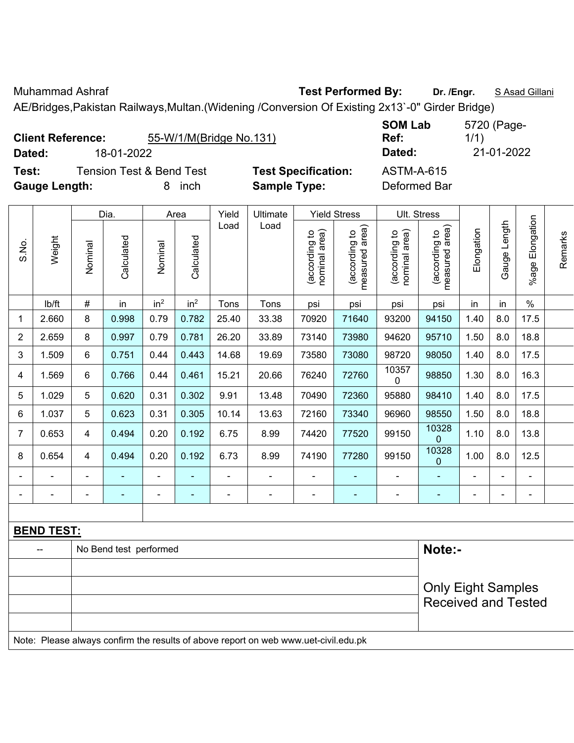Muhammad Ashraf **Test Performed By:** Dr. /Engr. **SAsad Gillani** 

AE/Bridges,Pakistan Railways,Multan.(Widening /Conversion Of Existing 2x13`-0" Girder Bridge)

| <b>Client Reference:</b> | 55-W/1/M(Bridge No.131)  |                            | <b>SOM Lab</b><br>Ref: | 5720 (Page-<br>1/1) |
|--------------------------|--------------------------|----------------------------|------------------------|---------------------|
| Dated:                   | 18-01-2022               |                            | Dated:                 | 21-01-2022          |
| Test:                    | Tension Test & Bend Test | <b>Test Specification:</b> | ASTM-A-615             |                     |

**Gauge Length:** 8 inch **Sample Type:** Deformed Bar

|                |        |                          | Dia.       |                 | Area            | Yield | Ultimate |                                   | <b>Yield Stress</b>                |                                   | Ult. Stress                                       |            |                               |                       |         |
|----------------|--------|--------------------------|------------|-----------------|-----------------|-------|----------|-----------------------------------|------------------------------------|-----------------------------------|---------------------------------------------------|------------|-------------------------------|-----------------------|---------|
| S.No.          | Weight | Nominal                  | Calculated | Nominal         | Calculated      | Load  | Load     | area)<br>(according to<br>nominal | area)<br>(according to<br>measured | area)<br>(according to<br>nominal | area)<br>$\overline{5}$<br>(according<br>measured | Elongation | ength<br>┙<br>auge<br>$\circ$ | Elongation<br>$%$ age | Remarks |
|                | lb/ft  | $\#$                     | in         | in <sup>2</sup> | in <sup>2</sup> | Tons  | Tons     | psi                               | psi                                | psi                               | psi                                               | in         | in                            | $\%$                  |         |
| 1              | 2.660  | 8                        | 0.998      | 0.79            | 0.782           | 25.40 | 33.38    | 70920                             | 71640                              | 93200                             | 94150                                             | 1.40       | 8.0                           | 17.5                  |         |
| $\overline{2}$ | 2.659  | 8                        | 0.997      | 0.79            | 0.781           | 26.20 | 33.89    | 73140                             | 73980                              | 94620                             | 95710                                             | 1.50       | 8.0                           | 18.8                  |         |
| 3              | 1.509  | 6                        | 0.751      | 0.44            | 0.443           | 14.68 | 19.69    | 73580                             | 73080                              | 98720                             | 98050                                             | 1.40       | 8.0                           | 17.5                  |         |
| 4              | 1.569  | 6                        | 0.766      | 0.44            | 0.461           | 15.21 | 20.66    | 76240                             | 72760                              | 10357<br>$\mathbf 0$              | 98850                                             | 1.30       | 8.0                           | 16.3                  |         |
| 5              | 1.029  | 5                        | 0.620      | 0.31            | 0.302           | 9.91  | 13.48    | 70490                             | 72360                              | 95880                             | 98410                                             | 1.40       | 8.0                           | 17.5                  |         |
| 6              | 1.037  | 5                        | 0.623      | 0.31            | 0.305           | 10.14 | 13.63    | 72160                             | 73340                              | 96960                             | 98550                                             | 1.50       | 8.0                           | 18.8                  |         |
| $\overline{7}$ | 0.653  | 4                        | 0.494      | 0.20            | 0.192           | 6.75  | 8.99     | 74420                             | 77520                              | 99150                             | 10328<br>$\mathbf{0}$                             | 1.10       | 8.0                           | 13.8                  |         |
| 8              | 0.654  | 4                        | 0.494      | 0.20            | 0.192           | 6.73  | 8.99     | 74190                             | 77280                              | 99150                             | 10328<br>$\mathbf{0}$                             | 1.00       | 8.0                           | 12.5                  |         |
|                |        | $\overline{\phantom{a}}$ |            |                 |                 |       |          |                                   |                                    |                                   |                                                   |            |                               | $\blacksquare$        |         |
|                |        |                          |            |                 |                 |       |          |                                   |                                    |                                   |                                                   |            |                               | $\blacksquare$        |         |

| <b>BEND TEST:</b> |                                                                                     |                            |
|-------------------|-------------------------------------------------------------------------------------|----------------------------|
|                   | No Bend test performed                                                              | Note:-                     |
|                   |                                                                                     |                            |
|                   |                                                                                     | <b>Only Eight Samples</b>  |
|                   |                                                                                     | <b>Received and Tested</b> |
|                   |                                                                                     |                            |
|                   | Note: Please always confirm the results of above report on web www.uet-civil.edu.pk |                            |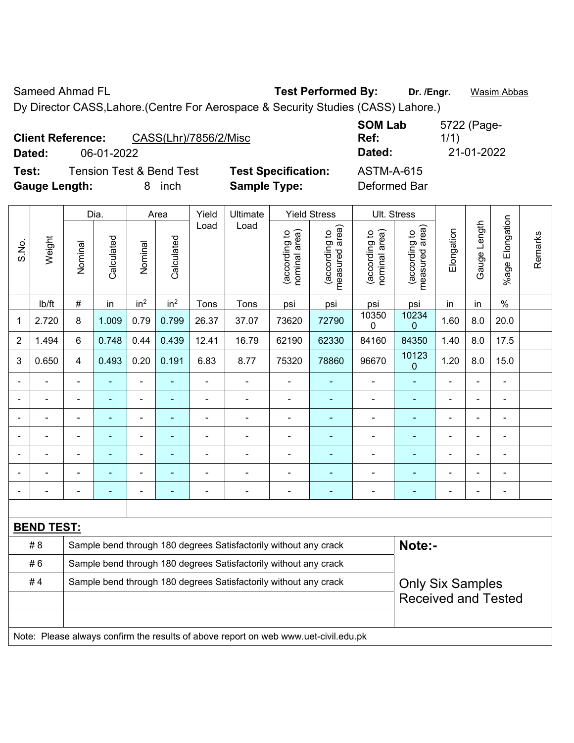Sameed Ahmad FL **Test Performed By:** Dr. /Engr. **Wasim Abbas** Dy Director CASS,Lahore.(Centre For Aerospace & Security Studies (CASS) Lahore.)

| <b>Client Reference:</b> |            | CASS(Lhr)/7856/2/Misc               |                            | <b>SOM Lab</b><br>Ref: | 5722 (Page-<br>1/1) |
|--------------------------|------------|-------------------------------------|----------------------------|------------------------|---------------------|
| <b>Dated:</b>            | 06-01-2022 |                                     |                            | Dated:                 | 21-01-2022          |
| Test:                    |            | <b>Tension Test &amp; Bend Test</b> | <b>Test Specification:</b> | <b>ASTM-A-615</b>      |                     |
| <b>Gauge Length:</b>     |            | inch                                | <b>Sample Type:</b>        | Deformed Bar           |                     |

|                |                   |                                                                  | Dia.       |                 | Area            | Yield | Ultimate                                                                            |                                | <b>Yield Stress</b>             |                                | Ult. Stress                     |                |                |                 |         |
|----------------|-------------------|------------------------------------------------------------------|------------|-----------------|-----------------|-------|-------------------------------------------------------------------------------------|--------------------------------|---------------------------------|--------------------------------|---------------------------------|----------------|----------------|-----------------|---------|
| S.No.          | Weight            | Nominal                                                          | Calculated | Nominal         | Calculated      | Load  | Load                                                                                | nominal area)<br>(according to | (according to<br>measured area) | nominal area)<br>(according to | measured area)<br>(according to | Elongation     | Gauge Length   | %age Elongation | Remarks |
|                | Ib/ft             | $\#$                                                             | in         | in <sup>2</sup> | in <sup>2</sup> | Tons  | Tons                                                                                | psi                            | psi                             | psi                            | psi                             | in             | in             | $\%$            |         |
| 1              | 2.720             | 8                                                                | 1.009      | 0.79            | 0.799           | 26.37 | 37.07                                                                               | 73620                          | 72790                           | 10350<br>0                     | 10234<br>0                      | 1.60           | 8.0            | 20.0            |         |
| $\overline{2}$ | 1.494             | 6                                                                | 0.748      | 0.44            | 0.439           | 12.41 | 16.79                                                                               | 62190                          | 62330                           | 84160                          | 84350                           | 1.40           | 8.0            | 17.5            |         |
| 3              | 0.650             | $\overline{4}$                                                   | 0.493      | 0.20            | 0.191           | 6.83  | 8.77                                                                                | 75320                          | 78860                           | 96670                          | 10123<br>0                      | 1.20           | 8.0            | 15.0            |         |
|                |                   | $\blacksquare$                                                   |            | $\blacksquare$  |                 | ä,    | ä,                                                                                  |                                | ä,                              | ä,                             | ÷,                              | ä,             | ä,             | ä,              |         |
|                |                   |                                                                  |            | $\blacksquare$  |                 |       | ÷                                                                                   | $\blacksquare$                 |                                 | $\blacksquare$                 | ٠                               | ä,             |                | L,              |         |
|                |                   |                                                                  |            |                 |                 |       |                                                                                     |                                |                                 |                                |                                 |                |                | $\blacksquare$  |         |
|                |                   |                                                                  |            | ÷               |                 |       |                                                                                     | $\blacksquare$                 | ÷                               | $\blacksquare$                 | $\blacksquare$                  |                | $\blacksquare$ | $\overline{a}$  |         |
|                |                   |                                                                  |            |                 |                 |       |                                                                                     |                                |                                 |                                |                                 |                | $\blacksquare$ |                 |         |
|                |                   |                                                                  |            |                 |                 |       |                                                                                     |                                |                                 | L.                             |                                 |                | $\blacksquare$ | L,              |         |
|                |                   | $\blacksquare$                                                   |            | $\blacksquare$  | ٠               |       | $\blacksquare$                                                                      | $\overline{\phantom{0}}$       | ÷                               | ÷                              | $\blacksquare$                  | $\blacksquare$ | $\overline{a}$ | ٠               |         |
|                |                   |                                                                  |            |                 |                 |       |                                                                                     |                                |                                 |                                |                                 |                |                |                 |         |
|                | <b>BEND TEST:</b> |                                                                  |            |                 |                 |       |                                                                                     |                                |                                 |                                |                                 |                |                |                 |         |
|                | # 8               |                                                                  |            |                 |                 |       | Sample bend through 180 degrees Satisfactorily without any crack                    |                                |                                 |                                | Note:-                          |                |                |                 |         |
|                | #6                |                                                                  |            |                 |                 |       | Sample bend through 180 degrees Satisfactorily without any crack                    |                                |                                 |                                |                                 |                |                |                 |         |
|                | #4                | Sample bend through 180 degrees Satisfactorily without any crack |            |                 |                 |       |                                                                                     |                                |                                 |                                | <b>Only Six Samples</b>         |                |                |                 |         |
|                |                   |                                                                  |            |                 |                 |       |                                                                                     |                                |                                 |                                | <b>Received and Tested</b>      |                |                |                 |         |
|                |                   |                                                                  |            |                 |                 |       |                                                                                     |                                |                                 |                                |                                 |                |                |                 |         |
|                |                   |                                                                  |            |                 |                 |       | Note: Please always confirm the results of above report on web www.uet-civil.edu.pk |                                |                                 |                                |                                 |                |                |                 |         |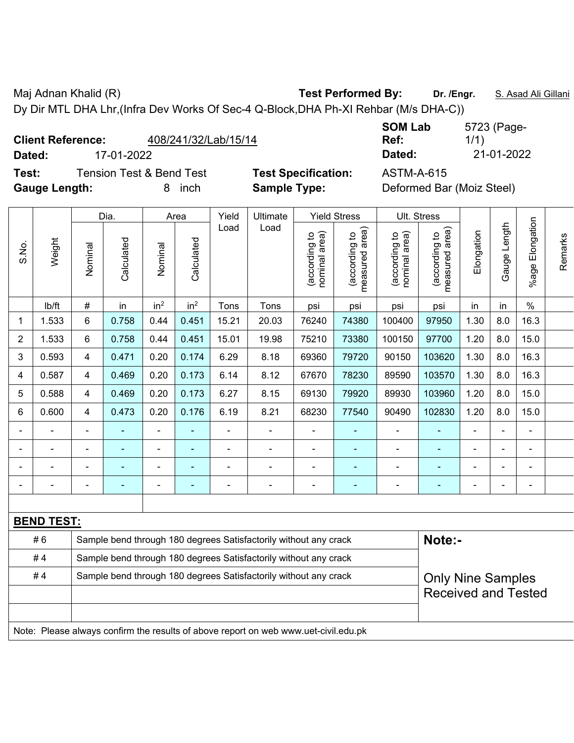Maj Adnan Khalid (R) **Test Performed By:** Dr. /Engr. **S. Asad Ali Gillani** Ali Gillani

**SOM Lab Ref:** 

5723 (Page-

1/1)

Dy Dir MTL DHA Lhr,(Infra Dev Works Of Sec-4 Q-Block,DHA Ph-XI Rehbar (M/s DHA-C))

## **Client Reference:** 408/241/32/Lab/15/14

**Test:** Tension Test & Bend Test **Test Specification:** ASTM-A-615

**Dated:** 17-01-2022 **Dated:** 21-01-2022

**Gauge Length:** 8 inch **Sample Type:** Deformed Bar (Moiz Steel)

|       |                   |                              | Dia.                                                             |                              | Area            | Yield          | Ultimate                                                         | <b>Yield Stress</b>            |                                 |                                | Ult. Stress                     |            |              |                      |         |
|-------|-------------------|------------------------------|------------------------------------------------------------------|------------------------------|-----------------|----------------|------------------------------------------------------------------|--------------------------------|---------------------------------|--------------------------------|---------------------------------|------------|--------------|----------------------|---------|
| S.No. | Weight            | Nominal                      | Calculated                                                       | Nominal                      | Calculated      | Load           | Load                                                             | nominal area)<br>(according to | measured area)<br>(according to | nominal area)<br>(according to | measured area)<br>(according to | Elongation | Gauge Length | Elongation<br>%age l | Remarks |
|       | lb/ft             | $\#$                         | in                                                               | in <sup>2</sup>              | in <sup>2</sup> | Tons           | Tons                                                             | psi                            | psi                             | psi                            | psi                             | in         | in           | $\frac{0}{0}$        |         |
| 1     | 1.533             | 6                            | 0.758                                                            | 0.44                         | 0.451           | 15.21          | 20.03                                                            | 76240                          | 74380                           | 100400                         | 97950                           | 1.30       | 8.0          | 16.3                 |         |
| 2     | 1.533             | 6                            | 0.758                                                            | 0.44                         | 0.451           | 15.01          | 19.98                                                            | 75210                          | 73380                           | 100150                         | 97700                           | 1.20       | 8.0          | 15.0                 |         |
| 3     | 0.593             | $\overline{\mathbf{4}}$      | 0.471                                                            | 0.20                         | 0.174           | 6.29           | 8.18                                                             | 69360                          | 79720                           | 90150                          | 103620                          | 1.30       | 8.0          | 16.3                 |         |
| 4     | 0.587             | $\overline{\mathbf{4}}$      | 0.469                                                            | 0.20                         | 0.173           | 6.14           | 8.12                                                             | 67670                          | 78230                           | 89590                          | 103570                          | 1.30       | 8.0          | 16.3                 |         |
| 5     | 0.588             | 4                            | 0.469                                                            | 0.20                         | 0.173           | 6.27           | 8.15                                                             | 69130                          | 79920                           | 89930                          | 103960                          | 1.20       | 8.0          | 15.0                 |         |
| 6     | 0.600             | $\overline{\mathbf{4}}$      | 0.473                                                            | 0.20                         | 0.176           | 6.19           | 8.21                                                             | 68230                          | 77540                           | 90490                          | 102830                          | 1.20       | 8.0          | 15.0                 |         |
|       |                   | $\blacksquare$               |                                                                  |                              |                 | $\blacksquare$ |                                                                  |                                |                                 |                                |                                 |            |              | $\blacksquare$       |         |
|       | Ē,                | $\qquad \qquad \blacksquare$ | $\blacksquare$                                                   | $\qquad \qquad \blacksquare$ | $\blacksquare$  | ÷              | $\blacksquare$                                                   | -                              | $\overline{\phantom{0}}$        | $\blacksquare$                 | $\blacksquare$                  | Ē,         |              | $\blacksquare$       |         |
|       | ٠                 | $\blacksquare$               | $\blacksquare$                                                   | ۰                            | $\blacksquare$  | $\blacksquare$ | $\overline{\phantom{a}}$                                         | ۰                              | ۰                               | $\blacksquare$                 | $\blacksquare$                  | Ē,         |              | $\blacksquare$       |         |
|       |                   | $\blacksquare$               | $\blacksquare$                                                   | ۰                            | $\blacksquare$  | $\blacksquare$ | $\blacksquare$                                                   | $\blacksquare$                 |                                 | $\overline{\phantom{0}}$       |                                 |            |              | $\blacksquare$       |         |
|       |                   |                              |                                                                  |                              |                 |                |                                                                  |                                |                                 |                                |                                 |            |              |                      |         |
|       | <b>BEND TEST:</b> |                              |                                                                  |                              |                 |                |                                                                  |                                |                                 |                                |                                 |            |              |                      |         |
|       | #6                |                              |                                                                  |                              |                 |                | Sample bend through 180 degrees Satisfactorily without any crack |                                |                                 |                                | Note:-                          |            |              |                      |         |
|       | #4                |                              | Sample bend through 180 degrees Satisfactorily without any crack |                              |                 |                |                                                                  |                                |                                 |                                |                                 |            |              |                      |         |
|       | #4                |                              |                                                                  |                              |                 |                | Sample bend through 180 degrees Satisfactorily without any crack |                                |                                 |                                | <b>Only Nine Samples</b>        |            |              |                      |         |
|       |                   |                              |                                                                  |                              |                 |                |                                                                  |                                |                                 |                                | <b>Received and Tested</b>      |            |              |                      |         |
|       |                   |                              |                                                                  |                              |                 |                |                                                                  |                                |                                 |                                |                                 |            |              |                      |         |
|       |                   |                              |                                                                  |                              |                 |                |                                                                  |                                |                                 |                                |                                 |            |              |                      |         |

Note: Please always confirm the results of above report on web www.uet-civil.edu.pk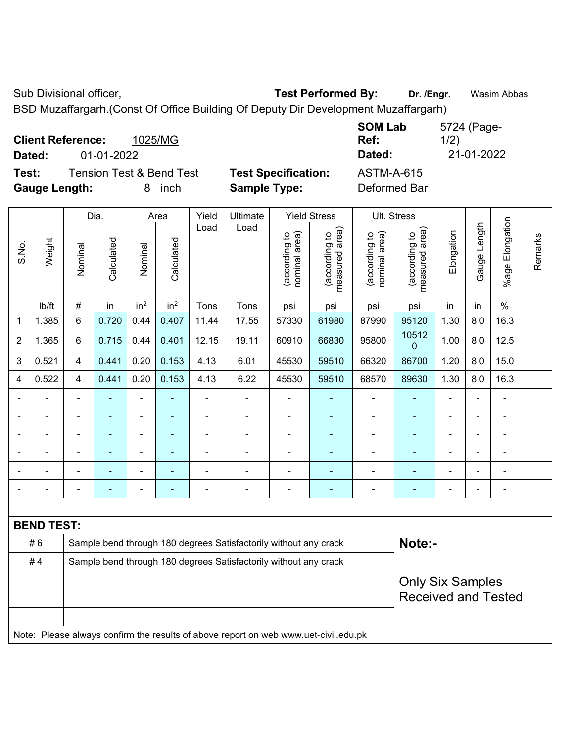Sub Divisional officer, **Test Performed By:** Dr. /Engr. **Wasim Abbas** 

BSD Muzaffargarh.(Const Of Office Building Of Deputy Dir Development Muzaffargarh)

| <b>Client Reference:</b><br>Dated: | 01-01-2022                          | 1025/MG    |                            | <b>SOM Lab</b><br>Ref:<br>Dated: | 5724 (Page-<br>1/2)<br>21-01-2022 |
|------------------------------------|-------------------------------------|------------|----------------------------|----------------------------------|-----------------------------------|
| Test:                              | <b>Tension Test &amp; Bend Test</b> |            | <b>Test Specification:</b> | <b>ASTM-A-615</b>                |                                   |
| <b>Gauge Length:</b>               |                                     | inch<br>8. | <b>Sample Type:</b>        | Deformed Bar                     |                                   |

|                |                                                                                     |                | Dia.       |                 | Area            | Yield<br>Ultimate                                                |                                                                  |                                | <b>Yield Stress</b>             | Ult. Stress                    |                                 |                |                |                      |         |
|----------------|-------------------------------------------------------------------------------------|----------------|------------|-----------------|-----------------|------------------------------------------------------------------|------------------------------------------------------------------|--------------------------------|---------------------------------|--------------------------------|---------------------------------|----------------|----------------|----------------------|---------|
| S.No.          | Weight                                                                              | Nominal        | Calculated | Nominal         | Calculated      | Load                                                             | Load                                                             | nominal area)<br>(according to | (according to<br>measured area) | nominal area)<br>(according to | measured area)<br>(according to | Elongation     | Gauge Length   | Elongation<br>%age I | Remarks |
|                | lb/ft                                                                               | $\#$           | in         | in <sup>2</sup> | in <sup>2</sup> | Tons                                                             | Tons                                                             | psi                            | psi                             | psi                            | psi                             | in             | in             | $\%$                 |         |
| 1              | 1.385                                                                               | 6              | 0.720      | 0.44            | 0.407           | 11.44                                                            | 17.55                                                            | 57330                          | 61980                           | 87990                          | 95120                           | 1.30           | 8.0            | 16.3                 |         |
| $\overline{2}$ | 1.365                                                                               | 6              | 0.715      | 0.44            | 0.401           | 12.15                                                            | 19.11                                                            | 60910                          | 66830                           | 95800                          | 10512<br>$\mathbf 0$            | 1.00           | 8.0            | 12.5                 |         |
| 3              | 0.521                                                                               | $\overline{4}$ | 0.441      | 0.20            | 0.153           | 4.13                                                             | 6.01                                                             | 45530                          | 59510                           | 66320                          | 86700                           | 1.20           | 8.0            | 15.0                 |         |
| $\overline{4}$ | 0.522                                                                               | $\overline{4}$ | 0.441      | 0.20            | 0.153           | 4.13                                                             | 6.22                                                             | 45530                          | 59510                           | 68570                          | 89630                           | 1.30           | 8.0            | 16.3                 |         |
|                |                                                                                     |                |            | $\blacksquare$  |                 | $\blacksquare$                                                   |                                                                  | ä,                             | $\blacksquare$                  | $\blacksquare$                 |                                 | $\overline{a}$ | $\overline{a}$ | $\blacksquare$       |         |
|                |                                                                                     |                |            |                 |                 |                                                                  |                                                                  |                                |                                 | $\blacksquare$                 |                                 |                |                | $\blacksquare$       |         |
|                |                                                                                     |                |            |                 |                 |                                                                  |                                                                  |                                |                                 | $\blacksquare$                 |                                 |                |                | $\blacksquare$       |         |
|                |                                                                                     | $\blacksquare$ |            | ÷               |                 |                                                                  |                                                                  | $\blacksquare$                 |                                 |                                |                                 |                | $\blacksquare$ | $\blacksquare$       |         |
|                |                                                                                     |                |            | $\overline{a}$  |                 |                                                                  |                                                                  |                                |                                 |                                | $\blacksquare$                  |                | ÷              | $\blacksquare$       |         |
|                |                                                                                     |                |            | ۰               |                 |                                                                  |                                                                  | $\blacksquare$                 | $\overline{\phantom{a}}$        | $\overline{\phantom{0}}$       | $\blacksquare$                  | ۰              |                | $\blacksquare$       |         |
|                |                                                                                     |                |            |                 |                 |                                                                  |                                                                  |                                |                                 |                                |                                 |                |                |                      |         |
|                | <b>BEND TEST:</b>                                                                   |                |            |                 |                 |                                                                  |                                                                  |                                |                                 |                                |                                 |                |                |                      |         |
|                | #6                                                                                  |                |            |                 |                 |                                                                  | Sample bend through 180 degrees Satisfactorily without any crack |                                |                                 |                                | Note:-                          |                |                |                      |         |
|                | #4                                                                                  |                |            |                 |                 | Sample bend through 180 degrees Satisfactorily without any crack |                                                                  |                                |                                 |                                |                                 |                |                |                      |         |
|                |                                                                                     |                |            |                 |                 |                                                                  |                                                                  | <b>Only Six Samples</b>        |                                 |                                |                                 |                |                |                      |         |
|                |                                                                                     |                |            |                 |                 |                                                                  |                                                                  |                                |                                 |                                | <b>Received and Tested</b>      |                |                |                      |         |
|                |                                                                                     |                |            |                 |                 |                                                                  |                                                                  |                                |                                 |                                |                                 |                |                |                      |         |
|                | Note: Please always confirm the results of above report on web www.uet-civil.edu.pk |                |            |                 |                 |                                                                  |                                                                  |                                |                                 |                                |                                 |                |                |                      |         |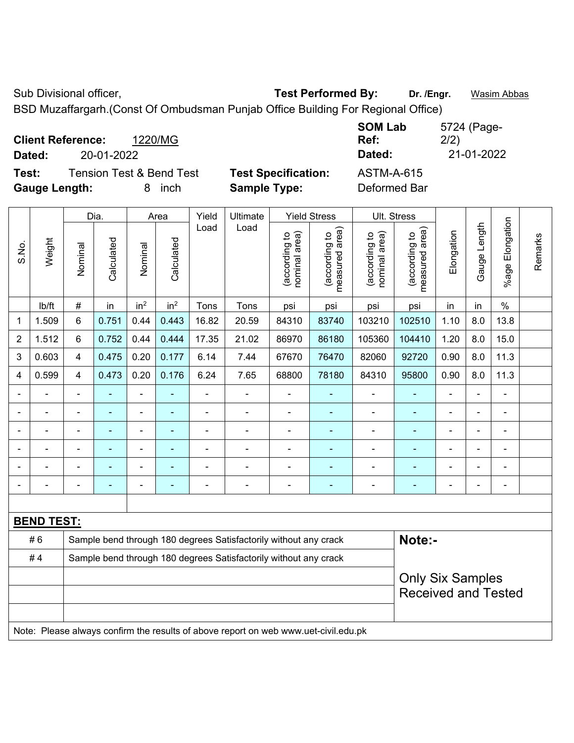Sub Divisional officer, **Test Performed By:** Dr. /Engr. **Wasim Abbas** 

BSD Muzaffargarh.(Const Of Ombudsman Punjab Office Building For Regional Office)

| <b>Client Reference:</b> |                                     | 1220/MG   |                            | <b>SOM Lab</b><br>Ref: | 5724 (Page-<br>2/2) |
|--------------------------|-------------------------------------|-----------|----------------------------|------------------------|---------------------|
| Dated:                   | 20-01-2022                          |           |                            | Dated:                 | 21-01-2022          |
| Test:                    | <b>Tension Test &amp; Bend Test</b> |           | <b>Test Specification:</b> | <b>ASTM-A-615</b>      |                     |
| <b>Gauge Length:</b>     |                                     | inch<br>8 | <b>Sample Type:</b>        | Deformed Bar           |                     |

|                          |                   |                                                                                     | Dia.           |                          | Area                     | Yield                                                            | Ultimate                                                         |                                | <b>Yield Stress</b>             |                                | Ult. Stress                     |                |                |                           |         |
|--------------------------|-------------------|-------------------------------------------------------------------------------------|----------------|--------------------------|--------------------------|------------------------------------------------------------------|------------------------------------------------------------------|--------------------------------|---------------------------------|--------------------------------|---------------------------------|----------------|----------------|---------------------------|---------|
| S.No.                    | Weight            | Nominal                                                                             | Calculated     | Nominal                  | Calculated               | Load                                                             | Load                                                             | nominal area)<br>(according to | (according to<br>measured area) | nominal area)<br>(according to | (according to<br>measured area) | Elongation     | Gauge Length   | Elongation<br>$%$ age $ $ | Remarks |
|                          | lb/ft             | $\#$                                                                                | in             | in <sup>2</sup>          | in <sup>2</sup>          | Tons                                                             | Tons                                                             | psi                            | psi                             | psi                            | psi                             | in             | in             | $\%$                      |         |
| 1                        | 1.509             | 6                                                                                   | 0.751          | 0.44                     | 0.443                    | 16.82                                                            | 20.59                                                            | 84310                          | 83740                           | 103210                         | 102510                          | 1.10           | 8.0            | 13.8                      |         |
| $\overline{2}$           | 1.512             | 6                                                                                   | 0.752          | 0.44                     | 0.444                    | 17.35                                                            | 21.02                                                            | 86970                          | 86180                           | 105360                         | 104410                          | 1.20           | 8.0            | 15.0                      |         |
| 3                        | 0.603             | 4                                                                                   | 0.475          | 0.20                     | 0.177                    | 6.14                                                             | 7.44                                                             | 67670                          | 76470                           | 82060                          | 92720                           | 0.90           | 8.0            | 11.3                      |         |
| 4                        | 0.599             | 4                                                                                   | 0.473          | 0.20                     | 0.176                    | 6.24                                                             | 7.65                                                             | 68800                          | 78180                           | 84310                          | 95800                           | 0.90           | 8.0            | 11.3                      |         |
|                          | ä,                | ä,                                                                                  | ÷              | $\overline{\phantom{a}}$ |                          | ä,                                                               | ä,                                                               | ÷,                             | $\blacksquare$                  | $\blacksquare$                 | ÷,                              | ÷,             | $\blacksquare$ | $\blacksquare$            |         |
|                          | ä,                | $\blacksquare$                                                                      | $\blacksquare$ | $\overline{\phantom{0}}$ | $\overline{\phantom{a}}$ | $\blacksquare$                                                   | $\blacksquare$                                                   | $\blacksquare$                 | $\blacksquare$                  | $\blacksquare$                 | $\blacksquare$                  | $\blacksquare$ | $\blacksquare$ | $\blacksquare$            |         |
|                          | $\blacksquare$    |                                                                                     | ÷              | ÷                        | $\overline{\phantom{a}}$ | $\blacksquare$                                                   | ÷                                                                | $\overline{\phantom{a}}$       | $\blacksquare$                  | $\blacksquare$                 | ٠                               | ä,             | ä,             | ä,                        |         |
|                          |                   |                                                                                     |                | ÷                        |                          |                                                                  |                                                                  |                                |                                 |                                |                                 |                |                | $\blacksquare$            |         |
|                          |                   |                                                                                     |                | Ē,                       |                          |                                                                  | $\blacksquare$                                                   |                                |                                 | $\blacksquare$                 |                                 |                | $\overline{a}$ | $\blacksquare$            |         |
| $\overline{\phantom{0}}$ | $\blacksquare$    | $\blacksquare$                                                                      | ۰              | ÷,                       | $\overline{\phantom{a}}$ | $\blacksquare$                                                   | $\blacksquare$                                                   | ٠                              | $\overline{\phantom{0}}$        | $\overline{a}$                 | $\overline{\phantom{0}}$        | ۰              | ÷,             | ÷,                        |         |
|                          |                   |                                                                                     |                |                          |                          |                                                                  |                                                                  |                                |                                 |                                |                                 |                |                |                           |         |
|                          | <b>BEND TEST:</b> |                                                                                     |                |                          |                          |                                                                  |                                                                  |                                |                                 |                                |                                 |                |                |                           |         |
|                          | #6                |                                                                                     |                |                          |                          |                                                                  | Sample bend through 180 degrees Satisfactorily without any crack |                                |                                 |                                | Note:-                          |                |                |                           |         |
|                          | #4                |                                                                                     |                |                          |                          | Sample bend through 180 degrees Satisfactorily without any crack |                                                                  |                                |                                 |                                |                                 |                |                |                           |         |
|                          |                   |                                                                                     |                |                          |                          |                                                                  |                                                                  |                                |                                 |                                | <b>Only Six Samples</b>         |                |                |                           |         |
|                          |                   |                                                                                     |                |                          |                          |                                                                  |                                                                  |                                |                                 |                                | <b>Received and Tested</b>      |                |                |                           |         |
|                          |                   |                                                                                     |                |                          |                          |                                                                  |                                                                  |                                |                                 |                                |                                 |                |                |                           |         |
|                          |                   | Note: Please always confirm the results of above report on web www.uet-civil.edu.pk |                |                          |                          |                                                                  |                                                                  |                                |                                 |                                |                                 |                |                |                           |         |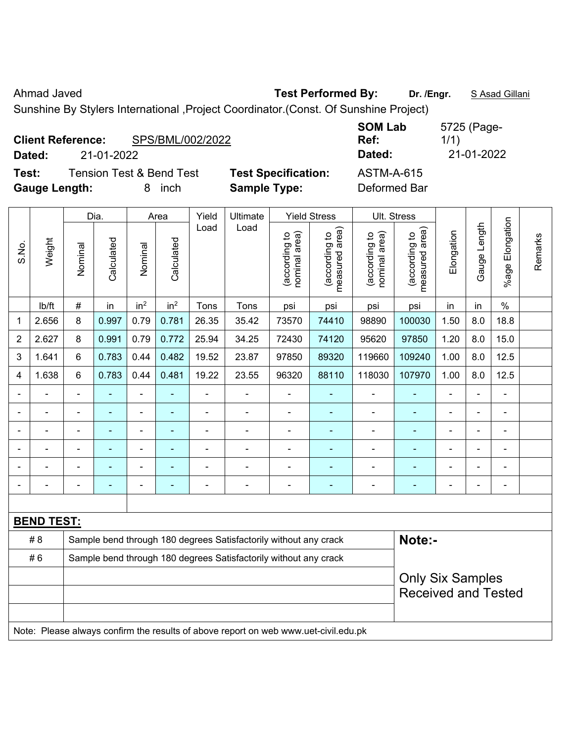Ahmad Javed **Test Performed By:** Dr. /Engr. **SAsad Gillani** 

Sunshine By Stylers International ,Project Coordinator.(Const. Of Sunshine Project)

| <b>Client Reference:</b><br>21-01-2022<br>Dated:                     | SPS/BML/002/2022 |                                                   | <b>SOM Lab</b><br>Ref:<br>Dated:  | 5725 (Page-<br>1/1)<br>21-01-2022 |
|----------------------------------------------------------------------|------------------|---------------------------------------------------|-----------------------------------|-----------------------------------|
| <b>Tension Test &amp; Bend Test</b><br>Test:<br><b>Gauge Length:</b> | inch<br>8        | <b>Test Specification:</b><br><b>Sample Type:</b> | <b>ASTM-A-615</b><br>Deformed Bar |                                   |

|                |                   |                                                                                     | Dia.           |                              | Area                     | Yield                                                            | Ultimate                                                         |                                | <b>Yield Stress</b>             |                                | Ult. Stress                     |                |                |                    |         |
|----------------|-------------------|-------------------------------------------------------------------------------------|----------------|------------------------------|--------------------------|------------------------------------------------------------------|------------------------------------------------------------------|--------------------------------|---------------------------------|--------------------------------|---------------------------------|----------------|----------------|--------------------|---------|
| S.No.          | Weight            | Nominal                                                                             | Calculated     | Nominal                      | Calculated               | Load                                                             | Load                                                             | nominal area)<br>(according to | (according to<br>measured area) | nominal area)<br>(according to | (according to<br>measured area) | Elongation     | Gauge Length   | Elongation<br>%age | Remarks |
|                | lb/ft             | #                                                                                   | in             | in <sup>2</sup>              | in <sup>2</sup>          | Tons                                                             | Tons                                                             | psi                            | psi                             | psi                            | psi                             | in             | in             | $\%$               |         |
| 1              | 2.656             | 8                                                                                   | 0.997          | 0.79                         | 0.781                    | 26.35                                                            | 35.42                                                            | 73570                          | 74410                           | 98890                          | 100030                          | 1.50           | 8.0            | 18.8               |         |
| $\overline{2}$ | 2.627             | 8                                                                                   | 0.991          | 0.79                         | 0.772                    | 25.94                                                            | 34.25                                                            | 72430                          | 74120                           | 95620                          | 97850                           | 1.20           | 8.0            | 15.0               |         |
| 3              | 1.641             | 6                                                                                   | 0.783          | 0.44                         | 0.482                    | 19.52                                                            | 23.87                                                            | 97850                          | 89320                           | 119660                         | 109240                          | 1.00           | 8.0            | 12.5               |         |
| 4              | 1.638             | 6                                                                                   | 0.783          | 0.44                         | 0.481                    | 19.22                                                            | 23.55                                                            | 96320                          | 88110                           | 118030                         | 107970                          | 1.00           | 8.0            | 12.5               |         |
|                | ÷,                | $\blacksquare$                                                                      | ä,             | $\blacksquare$               | $\blacksquare$           | ÷,                                                               | $\blacksquare$                                                   | $\blacksquare$                 | $\blacksquare$                  | $\blacksquare$                 | $\blacksquare$                  | $\blacksquare$ | $\blacksquare$ | $\blacksquare$     |         |
|                | $\blacksquare$    | ä,                                                                                  | $\blacksquare$ | $\qquad \qquad \blacksquare$ |                          | $\blacksquare$                                                   | ä,                                                               | $\blacksquare$                 | $\blacksquare$                  | $\blacksquare$                 | $\blacksquare$                  | $\blacksquare$ | $\blacksquare$ | $\blacksquare$     |         |
|                | $\blacksquare$    | $\blacksquare$                                                                      | ä,             | $\blacksquare$               | $\overline{\phantom{a}}$ | ä,                                                               | $\blacksquare$                                                   | $\blacksquare$                 | $\blacksquare$                  | $\blacksquare$                 | $\blacksquare$                  | $\blacksquare$ | L,             | $\blacksquare$     |         |
|                | $\blacksquare$    |                                                                                     | $\blacksquare$ | ÷,                           |                          |                                                                  |                                                                  | $\overline{a}$                 |                                 | $\blacksquare$                 |                                 |                | -              | Ē,                 |         |
|                |                   |                                                                                     |                | ÷                            |                          |                                                                  |                                                                  |                                |                                 | $\blacksquare$                 |                                 |                |                |                    |         |
|                |                   |                                                                                     |                | Ē,                           |                          |                                                                  | ÷                                                                | Ē,                             | Ē.                              | $\blacksquare$                 |                                 | Ē,             | ä,             | Ē,                 |         |
|                |                   |                                                                                     |                |                              |                          |                                                                  |                                                                  |                                |                                 |                                |                                 |                |                |                    |         |
|                | <b>BEND TEST:</b> |                                                                                     |                |                              |                          |                                                                  |                                                                  |                                |                                 |                                |                                 |                |                |                    |         |
|                | # 8               |                                                                                     |                |                              |                          |                                                                  | Sample bend through 180 degrees Satisfactorily without any crack |                                |                                 |                                | Note:-                          |                |                |                    |         |
|                | #6                |                                                                                     |                |                              |                          | Sample bend through 180 degrees Satisfactorily without any crack |                                                                  |                                |                                 |                                |                                 |                |                |                    |         |
|                |                   |                                                                                     |                |                              |                          |                                                                  |                                                                  | <b>Only Six Samples</b>        |                                 |                                |                                 |                |                |                    |         |
|                |                   |                                                                                     |                |                              |                          |                                                                  |                                                                  |                                |                                 |                                | <b>Received and Tested</b>      |                |                |                    |         |
|                |                   |                                                                                     |                |                              |                          |                                                                  |                                                                  |                                |                                 |                                |                                 |                |                |                    |         |
|                |                   | Note: Please always confirm the results of above report on web www.uet-civil.edu.pk |                |                              |                          |                                                                  |                                                                  |                                |                                 |                                |                                 |                |                |                    |         |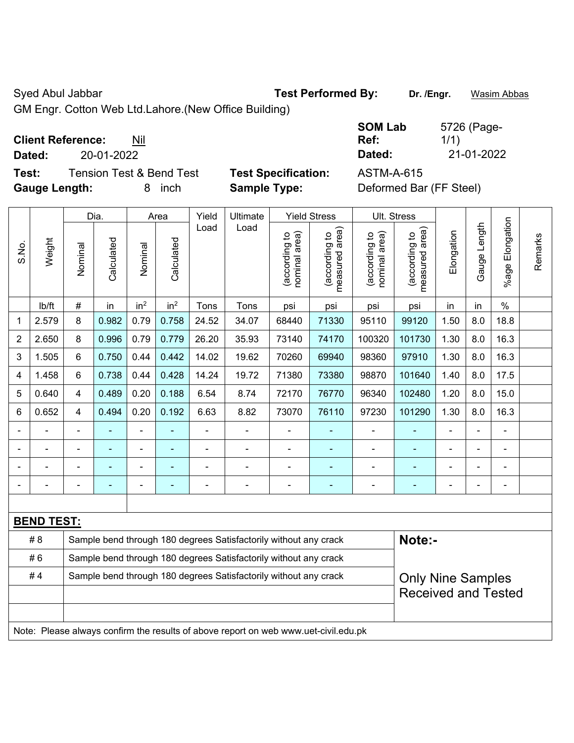Syed Abul Jabbar **Test Performed By:** Dr. /Engr. **Wasim Abbas** 

GM Engr. Cotton Web Ltd.Lahore.(New Office Building)

**Test:** Tension Test & Bend Test **Test Specification:** ASTM-A-615 **Gauge Length:** 8 inch **Sample Type:** Deformed Bar (FF Steel)

|                          |            | <b>SOM Lab</b> | 5726 (Page- |
|--------------------------|------------|----------------|-------------|
| <b>Client Reference:</b> | Nil        | Ref:           |             |
| Dated:                   | 20-01-2022 | Dated:         | 21-01-2022  |

|                |                                                                                     |                | Dia.                                                             |                 | Area            | Yield                                                            | <b>Ultimate</b>                                                  |                                | <b>Yield Stress</b>             |                                | Ult. Stress                     |                |                |                       |         |
|----------------|-------------------------------------------------------------------------------------|----------------|------------------------------------------------------------------|-----------------|-----------------|------------------------------------------------------------------|------------------------------------------------------------------|--------------------------------|---------------------------------|--------------------------------|---------------------------------|----------------|----------------|-----------------------|---------|
| S.No.          | Weight                                                                              | Nominal        | Calculated                                                       | Nominal         | Calculated      | Load                                                             | Load                                                             | nominal area)<br>(according to | (according to<br>measured area) | nominal area)<br>(according to | measured area)<br>(according to | Elongation     | Gauge Length   | Elongation<br>$%$ age | Remarks |
|                | lb/ft                                                                               | $\#$           | in                                                               | in <sup>2</sup> | in <sup>2</sup> | Tons                                                             | Tons                                                             | psi                            | psi                             | psi                            | psi                             | in             | in             | $\%$                  |         |
| 1              | 2.579                                                                               | 8              | 0.982                                                            | 0.79            | 0.758           | 24.52                                                            | 34.07                                                            | 68440                          | 71330                           | 95110                          | 99120                           | 1.50           | 8.0            | 18.8                  |         |
| $\overline{2}$ | 2.650                                                                               | 8              | 0.996                                                            | 0.79            | 0.779           | 26.20                                                            | 35.93                                                            | 73140                          | 74170                           | 100320                         | 101730                          | 1.30           | 8.0            | 16.3                  |         |
| 3              | 1.505                                                                               | 6              | 0.750                                                            | 0.44            | 0.442           | 14.02                                                            | 19.62                                                            | 70260                          | 69940                           | 98360                          | 97910                           | 1.30           | 8.0            | 16.3                  |         |
| 4              | 1.458                                                                               | 6              | 0.738                                                            | 0.44            | 0.428           | 14.24                                                            | 19.72                                                            | 71380                          | 73380                           | 98870                          | 101640                          | 1.40           | 8.0            | 17.5                  |         |
| 5              | 0.640                                                                               | 4              | 0.489                                                            | 0.20            | 0.188           | 6.54                                                             | 8.74                                                             | 72170                          | 76770                           | 96340                          | 102480                          | 1.20           | 8.0            | 15.0                  |         |
| 6              | 0.652                                                                               | 4              | 0.494                                                            | 0.20            | 0.192           | 6.63                                                             | 8.82                                                             | 73070                          | 76110                           | 97230                          | 101290                          | 1.30           | 8.0            | 16.3                  |         |
|                |                                                                                     |                | $\blacksquare$                                                   | ä,              |                 |                                                                  |                                                                  | ä,                             |                                 | $\blacksquare$                 |                                 | $\blacksquare$ | ä,             | $\blacksquare$        |         |
|                |                                                                                     |                |                                                                  |                 |                 |                                                                  |                                                                  |                                | $\blacksquare$                  | $\blacksquare$                 |                                 |                |                | $\blacksquare$        |         |
|                |                                                                                     |                |                                                                  |                 |                 |                                                                  |                                                                  |                                |                                 |                                |                                 |                |                |                       |         |
|                |                                                                                     | $\blacksquare$ | $\blacksquare$                                                   | ÷               | $\blacksquare$  | $\blacksquare$                                                   | $\blacksquare$                                                   | $\overline{\phantom{0}}$       | $\overline{\phantom{a}}$        | ÷                              | ÷                               | ۳              | $\blacksquare$ | $\blacksquare$        |         |
|                |                                                                                     |                |                                                                  |                 |                 |                                                                  |                                                                  |                                |                                 |                                |                                 |                |                |                       |         |
|                | <b>BEND TEST:</b>                                                                   |                |                                                                  |                 |                 |                                                                  |                                                                  |                                |                                 |                                |                                 |                |                |                       |         |
|                | # 8                                                                                 |                |                                                                  |                 |                 |                                                                  | Sample bend through 180 degrees Satisfactorily without any crack |                                |                                 |                                | Note:-                          |                |                |                       |         |
|                | #6                                                                                  |                | Sample bend through 180 degrees Satisfactorily without any crack |                 |                 |                                                                  |                                                                  |                                |                                 |                                |                                 |                |                |                       |         |
|                | #4                                                                                  |                |                                                                  |                 |                 | Sample bend through 180 degrees Satisfactorily without any crack |                                                                  | <b>Only Nine Samples</b>       |                                 |                                |                                 |                |                |                       |         |
|                |                                                                                     |                |                                                                  |                 |                 |                                                                  |                                                                  |                                |                                 |                                | <b>Received and Tested</b>      |                |                |                       |         |
|                |                                                                                     |                |                                                                  |                 |                 |                                                                  |                                                                  |                                |                                 |                                |                                 |                |                |                       |         |
|                | Note: Please always confirm the results of above report on web www.uet-civil.edu.pk |                |                                                                  |                 |                 |                                                                  |                                                                  |                                |                                 |                                |                                 |                |                |                       |         |